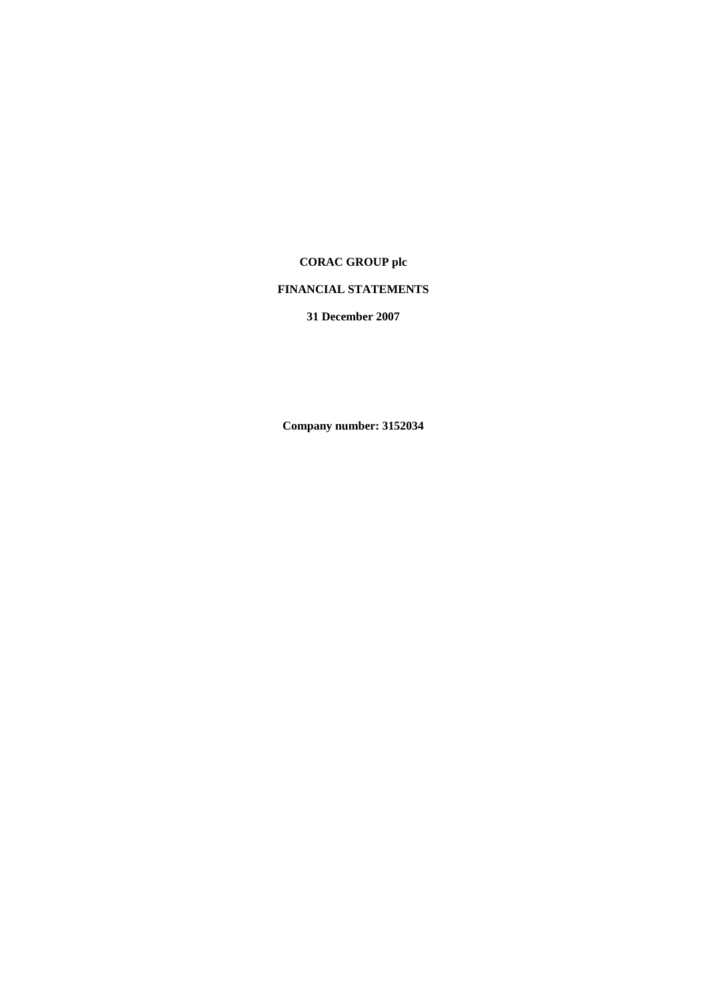# **CORAC GROUP plc**

# **FINANCIAL STATEMENTS**

**31 December 2007** 

**Company number: 3152034**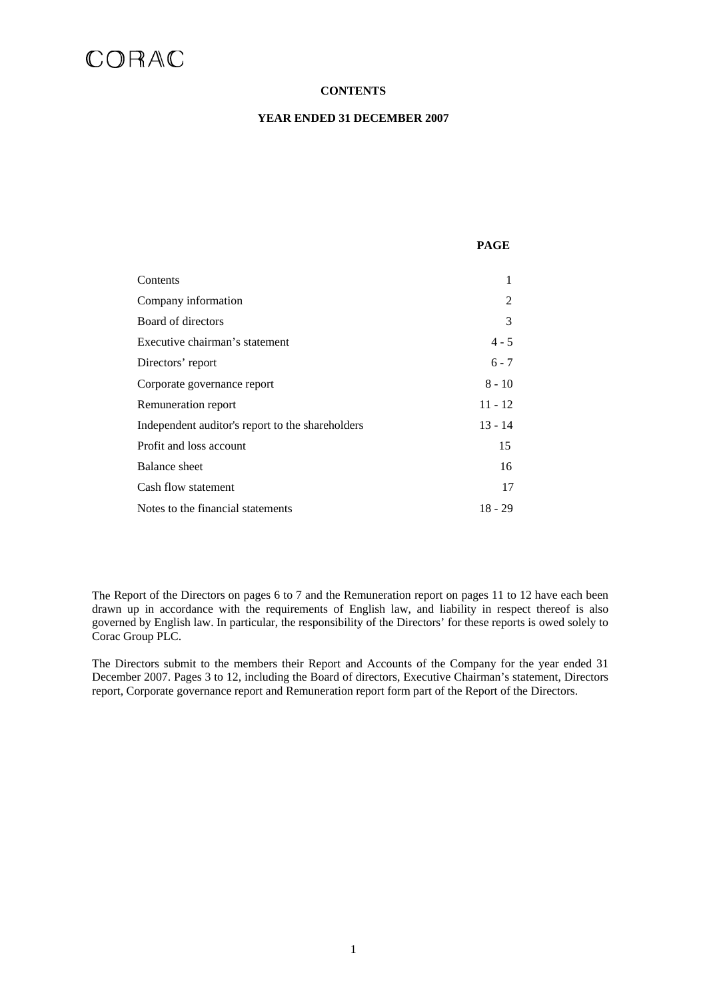### **CONTENTS**

# **YEAR ENDED 31 DECEMBER 2007**

# **PAGE**

| Contents                                         |           |
|--------------------------------------------------|-----------|
| Company information                              | 2         |
| Board of directors                               | 3         |
| Executive chairman's statement                   | $4 - 5$   |
| Directors' report                                | $6 - 7$   |
| Corporate governance report                      | $8 - 10$  |
| Remuneration report                              | $11 - 12$ |
| Independent auditor's report to the shareholders | $13 - 14$ |
| Profit and loss account                          | 15        |
| <b>Balance sheet</b>                             | 16        |
| Cash flow statement                              | 17        |
| Notes to the financial statements                | $18 - 29$ |

The Report of the Directors on pages 6 to 7 and the Remuneration report on pages 11 to 12 have each been drawn up in accordance with the requirements of English law, and liability in respect thereof is also governed by English law. In particular, the responsibility of the Directors' for these reports is owed solely to Corac Group PLC.

The Directors submit to the members their Report and Accounts of the Company for the year ended 31 December 2007. Pages 3 to 12, including the Board of directors, Executive Chairman's statement, Directors report, Corporate governance report and Remuneration report form part of the Report of the Directors.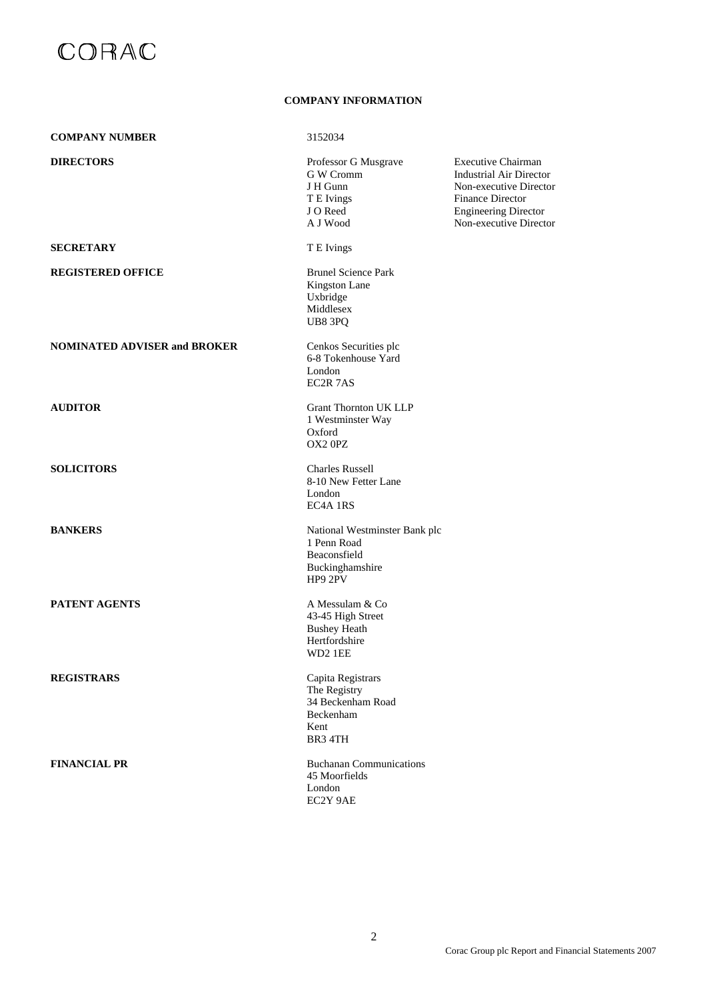

### **COMPANY INFORMATION**

#### **COMPANY NUMBER** 3152034

**SECRETARY** T E Ivings

#### **REGISTERED OFFICE** Brunel Science Park

#### **NOMINATED ADVISER and BROKER** Cenkos Securities plc

**DIRECTORS** Professor G Musgrave Executive Chairman G W Cromm C Musgrave Executive Chairman C W Cromm C Mustrial Air Direct J H Gunn Non-executive Director T E Ivings Finance Director<br>
J O Reed Engineering Director A J Wood Non-executive Director Kingston Lane Uxbridge Middlesex UB8 3PQ 6-8 Tokenhouse Yard London EC2R 7AS **AUDITOR** Grant Thornton UK LLP 1 Westminster Way Oxford OX2 0PZ **SOLICITORS** Charles Russell 8-10 New Fetter Lane London EC4A 1RS **BANKERS** National Westminster Bank plc 1 Penn Road Beaconsfield Buckinghamshire HP9 2PV **PATENT AGENTS** A Messulam & Co 43-45 High Street Bushey Heath Hertfordshire WD2 1EE **REGISTRARS** Capita Registrars The Registry 34 Beckenham Road Beckenham Kent **Kent** BR3 4TH

**FINANCIAL PR** Buchanan Communications 45 Moorfields London EC2Y 9AE

Industrial Air Director Engineering Director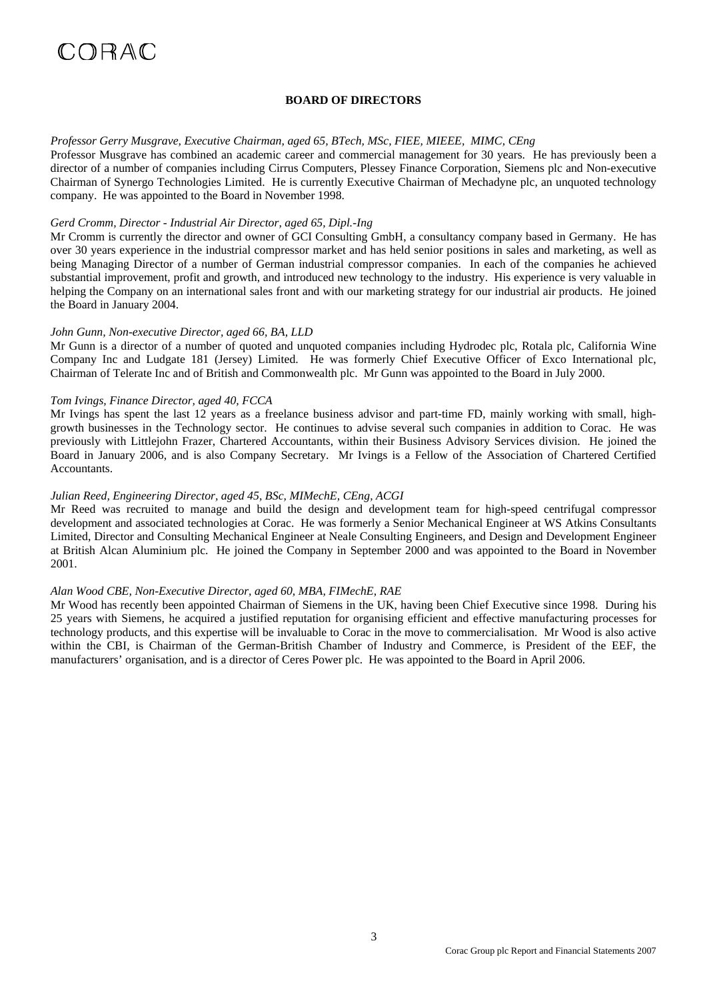

#### **BOARD OF DIRECTORS**

#### *Professor Gerry Musgrave, Executive Chairman, aged 65, BTech, MSc, FIEE, MIEEE, MIMC, CEng*

Professor Musgrave has combined an academic career and commercial management for 30 years. He has previously been a director of a number of companies including Cirrus Computers, Plessey Finance Corporation, Siemens plc and Non-executive Chairman of Synergo Technologies Limited. He is currently Executive Chairman of Mechadyne plc, an unquoted technology company. He was appointed to the Board in November 1998.

#### *Gerd Cromm, Director - Industrial Air Director, aged 65, Dipl.-Ing*

Mr Cromm is currently the director and owner of GCI Consulting GmbH, a consultancy company based in Germany. He has over 30 years experience in the industrial compressor market and has held senior positions in sales and marketing, as well as being Managing Director of a number of German industrial compressor companies. In each of the companies he achieved substantial improvement, profit and growth, and introduced new technology to the industry. His experience is very valuable in helping the Company on an international sales front and with our marketing strategy for our industrial air products. He joined the Board in January 2004.

#### *John Gunn, Non-executive Director, aged 66, BA, LLD*

Mr Gunn is a director of a number of quoted and unquoted companies including Hydrodec plc, Rotala plc, California Wine Company Inc and Ludgate 181 (Jersey) Limited. He was formerly Chief Executive Officer of Exco International plc, Chairman of Telerate Inc and of British and Commonwealth plc. Mr Gunn was appointed to the Board in July 2000.

#### *Tom Ivings, Finance Director, aged 40, FCCA*

Mr Ivings has spent the last 12 years as a freelance business advisor and part-time FD, mainly working with small, highgrowth businesses in the Technology sector. He continues to advise several such companies in addition to Corac. He was previously with Littlejohn Frazer, Chartered Accountants, within their Business Advisory Services division. He joined the Board in January 2006, and is also Company Secretary. Mr Ivings is a Fellow of the Association of Chartered Certified Accountants.

#### *Julian Reed, Engineering Director, aged 45, BSc, MIMechE, CEng, ACGI*

Mr Reed was recruited to manage and build the design and development team for high-speed centrifugal compressor development and associated technologies at Corac. He was formerly a Senior Mechanical Engineer at WS Atkins Consultants Limited, Director and Consulting Mechanical Engineer at Neale Consulting Engineers, and Design and Development Engineer at British Alcan Aluminium plc. He joined the Company in September 2000 and was appointed to the Board in November 2001.

#### *Alan Wood CBE, Non-Executive Director, aged 60, MBA, FIMechE, RAE*

Mr Wood has recently been appointed Chairman of Siemens in the UK, having been Chief Executive since 1998. During his 25 years with Siemens, he acquired a justified reputation for organising efficient and effective manufacturing processes for technology products, and this expertise will be invaluable to Corac in the move to commercialisation. Mr Wood is also active within the CBI, is Chairman of the German-British Chamber of Industry and Commerce, is President of the EEF, the manufacturers' organisation, and is a director of Ceres Power plc. He was appointed to the Board in April 2006.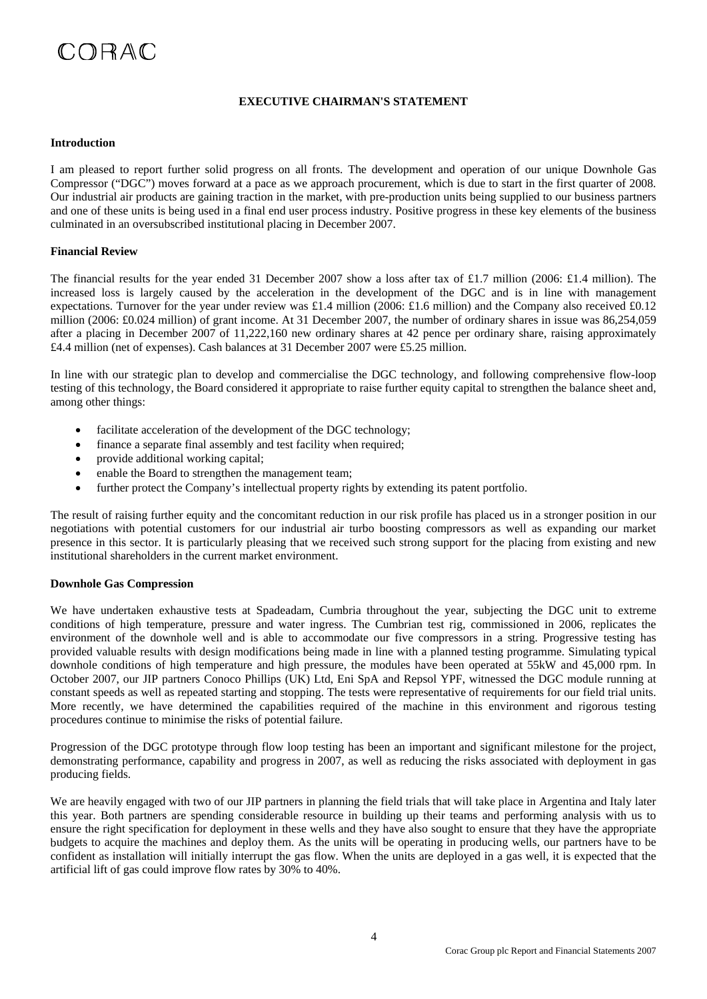### **EXECUTIVE CHAIRMAN'S STATEMENT**

#### **Introduction**

I am pleased to report further solid progress on all fronts. The development and operation of our unique Downhole Gas Compressor ("DGC") moves forward at a pace as we approach procurement, which is due to start in the first quarter of 2008. Our industrial air products are gaining traction in the market, with pre-production units being supplied to our business partners and one of these units is being used in a final end user process industry. Positive progress in these key elements of the business culminated in an oversubscribed institutional placing in December 2007.

#### **Financial Review**

The financial results for the year ended 31 December 2007 show a loss after tax of £1.7 million (2006: £1.4 million). The increased loss is largely caused by the acceleration in the development of the DGC and is in line with management expectations. Turnover for the year under review was £1.4 million (2006: £1.6 million) and the Company also received £0.12 million (2006: £0.024 million) of grant income. At 31 December 2007, the number of ordinary shares in issue was 86,254,059 after a placing in December 2007 of 11,222,160 new ordinary shares at 42 pence per ordinary share, raising approximately £4.4 million (net of expenses). Cash balances at 31 December 2007 were £5.25 million.

In line with our strategic plan to develop and commercialise the DGC technology, and following comprehensive flow-loop testing of this technology, the Board considered it appropriate to raise further equity capital to strengthen the balance sheet and, among other things:

- facilitate acceleration of the development of the DGC technology;
- finance a separate final assembly and test facility when required;
- provide additional working capital;
- enable the Board to strengthen the management team;
- further protect the Company's intellectual property rights by extending its patent portfolio.

The result of raising further equity and the concomitant reduction in our risk profile has placed us in a stronger position in our negotiations with potential customers for our industrial air turbo boosting compressors as well as expanding our market presence in this sector. It is particularly pleasing that we received such strong support for the placing from existing and new institutional shareholders in the current market environment.

### **Downhole Gas Compression**

We have undertaken exhaustive tests at Spadeadam, Cumbria throughout the year, subjecting the DGC unit to extreme conditions of high temperature, pressure and water ingress. The Cumbrian test rig, commissioned in 2006, replicates the environment of the downhole well and is able to accommodate our five compressors in a string. Progressive testing has provided valuable results with design modifications being made in line with a planned testing programme. Simulating typical downhole conditions of high temperature and high pressure, the modules have been operated at 55kW and 45,000 rpm. In October 2007, our JIP partners Conoco Phillips (UK) Ltd, Eni SpA and Repsol YPF, witnessed the DGC module running at constant speeds as well as repeated starting and stopping. The tests were representative of requirements for our field trial units. More recently, we have determined the capabilities required of the machine in this environment and rigorous testing procedures continue to minimise the risks of potential failure.

Progression of the DGC prototype through flow loop testing has been an important and significant milestone for the project, demonstrating performance, capability and progress in 2007, as well as reducing the risks associated with deployment in gas producing fields.

We are heavily engaged with two of our JIP partners in planning the field trials that will take place in Argentina and Italy later this year. Both partners are spending considerable resource in building up their teams and performing analysis with us to ensure the right specification for deployment in these wells and they have also sought to ensure that they have the appropriate budgets to acquire the machines and deploy them. As the units will be operating in producing wells, our partners have to be confident as installation will initially interrupt the gas flow. When the units are deployed in a gas well, it is expected that the artificial lift of gas could improve flow rates by 30% to 40%.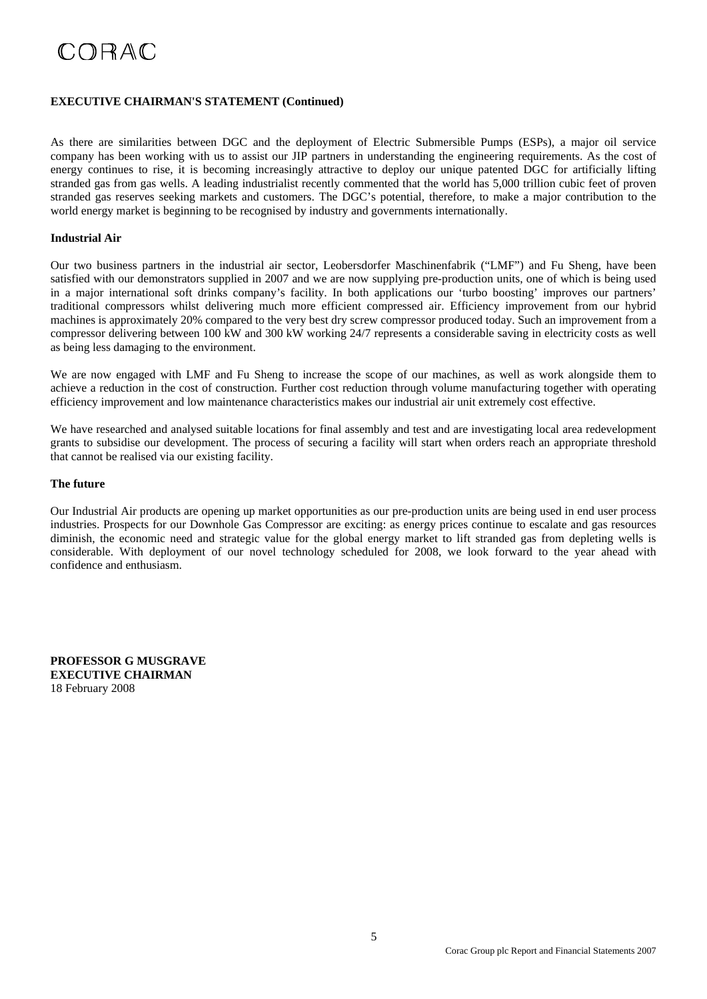# **EXECUTIVE CHAIRMAN'S STATEMENT (Continued)**

As there are similarities between DGC and the deployment of Electric Submersible Pumps (ESPs), a major oil service company has been working with us to assist our JIP partners in understanding the engineering requirements. As the cost of energy continues to rise, it is becoming increasingly attractive to deploy our unique patented DGC for artificially lifting stranded gas from gas wells. A leading industrialist recently commented that the world has 5,000 trillion cubic feet of proven stranded gas reserves seeking markets and customers. The DGC's potential, therefore, to make a major contribution to the world energy market is beginning to be recognised by industry and governments internationally.

#### **Industrial Air**

Our two business partners in the industrial air sector, Leobersdorfer Maschinenfabrik ("LMF") and Fu Sheng, have been satisfied with our demonstrators supplied in 2007 and we are now supplying pre-production units, one of which is being used in a major international soft drinks company's facility. In both applications our 'turbo boosting' improves our partners' traditional compressors whilst delivering much more efficient compressed air. Efficiency improvement from our hybrid machines is approximately 20% compared to the very best dry screw compressor produced today. Such an improvement from a compressor delivering between 100 kW and 300 kW working 24/7 represents a considerable saving in electricity costs as well as being less damaging to the environment.

We are now engaged with LMF and Fu Sheng to increase the scope of our machines, as well as work alongside them to achieve a reduction in the cost of construction. Further cost reduction through volume manufacturing together with operating efficiency improvement and low maintenance characteristics makes our industrial air unit extremely cost effective.

We have researched and analysed suitable locations for final assembly and test and are investigating local area redevelopment grants to subsidise our development. The process of securing a facility will start when orders reach an appropriate threshold that cannot be realised via our existing facility.

#### **The future**

Our Industrial Air products are opening up market opportunities as our pre-production units are being used in end user process industries. Prospects for our Downhole Gas Compressor are exciting: as energy prices continue to escalate and gas resources diminish, the economic need and strategic value for the global energy market to lift stranded gas from depleting wells is considerable. With deployment of our novel technology scheduled for 2008, we look forward to the year ahead with confidence and enthusiasm.

**PROFESSOR G MUSGRAVE EXECUTIVE CHAIRMAN**  18 February 2008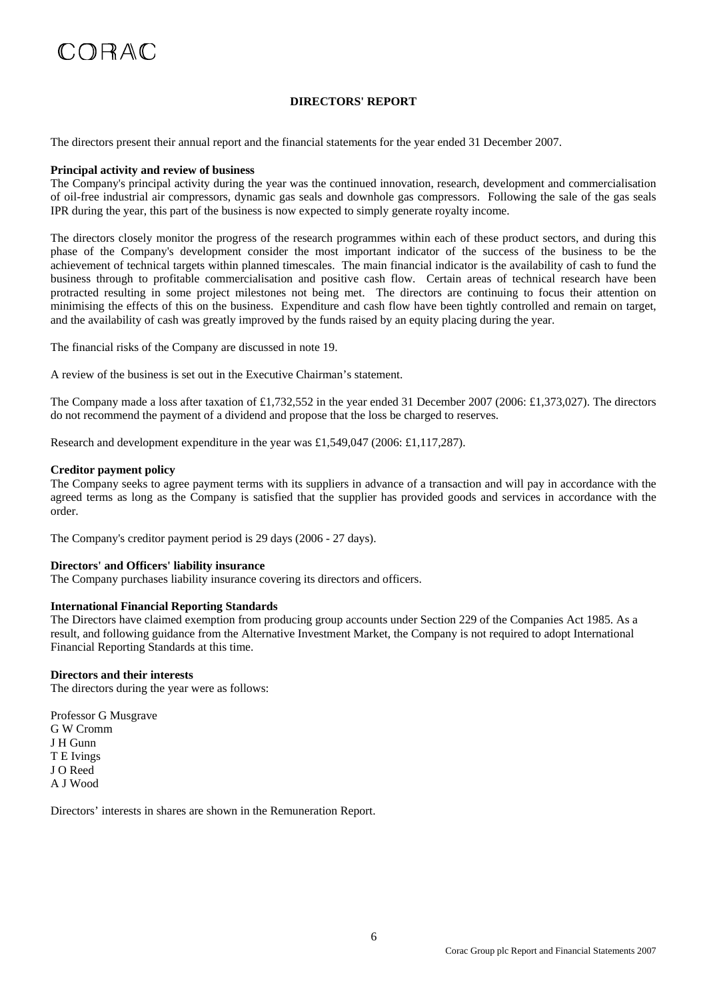

## **DIRECTORS' REPORT**

The directors present their annual report and the financial statements for the year ended 31 December 2007.

#### **Principal activity and review of business**

The Company's principal activity during the year was the continued innovation, research, development and commercialisation of oil-free industrial air compressors, dynamic gas seals and downhole gas compressors. Following the sale of the gas seals IPR during the year, this part of the business is now expected to simply generate royalty income.

The directors closely monitor the progress of the research programmes within each of these product sectors, and during this phase of the Company's development consider the most important indicator of the success of the business to be the achievement of technical targets within planned timescales. The main financial indicator is the availability of cash to fund the business through to profitable commercialisation and positive cash flow. Certain areas of technical research have been protracted resulting in some project milestones not being met. The directors are continuing to focus their attention on minimising the effects of this on the business. Expenditure and cash flow have been tightly controlled and remain on target, and the availability of cash was greatly improved by the funds raised by an equity placing during the year.

The financial risks of the Company are discussed in note 19.

A review of the business is set out in the Executive Chairman's statement.

The Company made a loss after taxation of £1,732,552 in the year ended 31 December 2007 (2006: £1,373,027). The directors do not recommend the payment of a dividend and propose that the loss be charged to reserves.

Research and development expenditure in the year was £1,549,047 (2006: £1,117,287).

#### **Creditor payment policy**

The Company seeks to agree payment terms with its suppliers in advance of a transaction and will pay in accordance with the agreed terms as long as the Company is satisfied that the supplier has provided goods and services in accordance with the order.

The Company's creditor payment period is 29 days (2006 - 27 days).

#### **Directors' and Officers' liability insurance**

The Company purchases liability insurance covering its directors and officers.

### **International Financial Reporting Standards**

The Directors have claimed exemption from producing group accounts under Section 229 of the Companies Act 1985. As a result, and following guidance from the Alternative Investment Market, the Company is not required to adopt International Financial Reporting Standards at this time.

### **Directors and their interests**

The directors during the year were as follows:

Professor G Musgrave G W Cromm J H Gunn T E Ivings J O Reed A J Wood

Directors' interests in shares are shown in the Remuneration Report.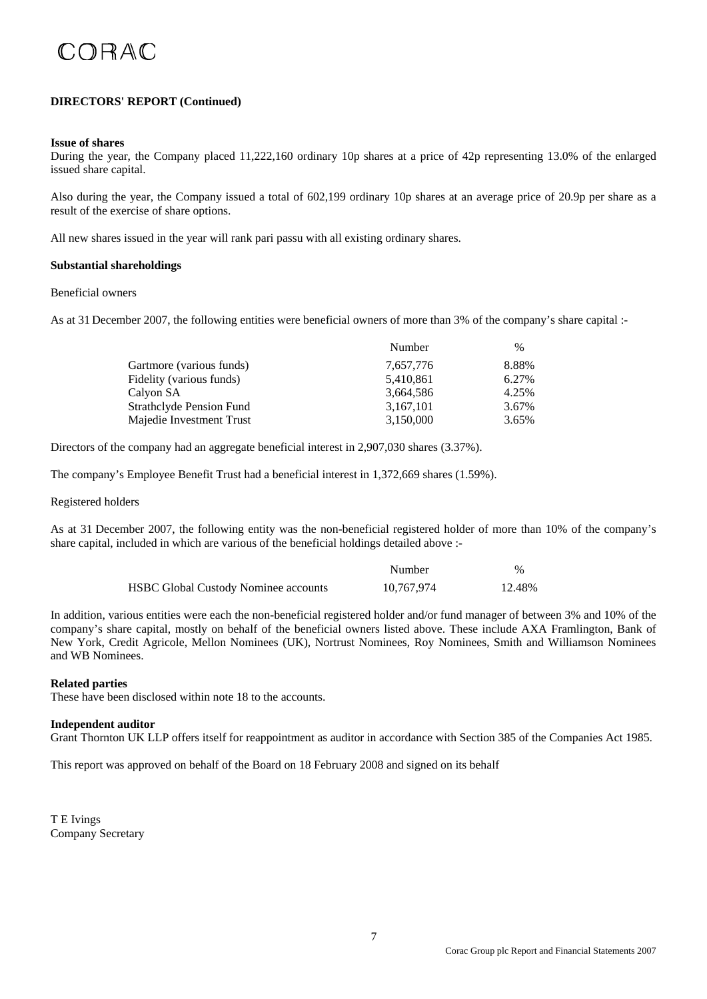# **DIRECTORS' REPORT (Continued)**

#### **Issue of shares**

During the year, the Company placed 11,222,160 ordinary 10p shares at a price of 42p representing 13.0% of the enlarged issued share capital.

Also during the year, the Company issued a total of 602,199 ordinary 10p shares at an average price of 20.9p per share as a result of the exercise of share options.

All new shares issued in the year will rank pari passu with all existing ordinary shares.

#### **Substantial shareholdings**

#### Beneficial owners

As at 31 December 2007, the following entities were beneficial owners of more than 3% of the company's share capital :-

|                                 | Number    | $\frac{0}{0}$ |
|---------------------------------|-----------|---------------|
| Gartmore (various funds)        | 7,657,776 | 8.88%         |
| Fidelity (various funds)        | 5,410,861 | 6.27%         |
| Calyon SA                       | 3.664.586 | 4.25%         |
| <b>Strathclyde Pension Fund</b> | 3,167,101 | 3.67%         |
| Majedie Investment Trust        | 3,150,000 | 3.65%         |

Directors of the company had an aggregate beneficial interest in 2,907,030 shares (3.37%).

The company's Employee Benefit Trust had a beneficial interest in 1,372,669 shares (1.59%).

#### Registered holders

As at 31 December 2007, the following entity was the non-beneficial registered holder of more than 10% of the company's share capital, included in which are various of the beneficial holdings detailed above :-

|                                             | Number     | $\%$   |
|---------------------------------------------|------------|--------|
| <b>HSBC Global Custody Nominee accounts</b> | 10,767,974 | 12.48% |

In addition, various entities were each the non-beneficial registered holder and/or fund manager of between 3% and 10% of the company's share capital, mostly on behalf of the beneficial owners listed above. These include AXA Framlington, Bank of New York, Credit Agricole, Mellon Nominees (UK), Nortrust Nominees, Roy Nominees, Smith and Williamson Nominees and WB Nominees.

### **Related parties**

These have been disclosed within note 18 to the accounts.

#### **Independent auditor**

Grant Thornton UK LLP offers itself for reappointment as auditor in accordance with Section 385 of the Companies Act 1985.

This report was approved on behalf of the Board on 18 February 2008 and signed on its behalf

T E Ivings Company Secretary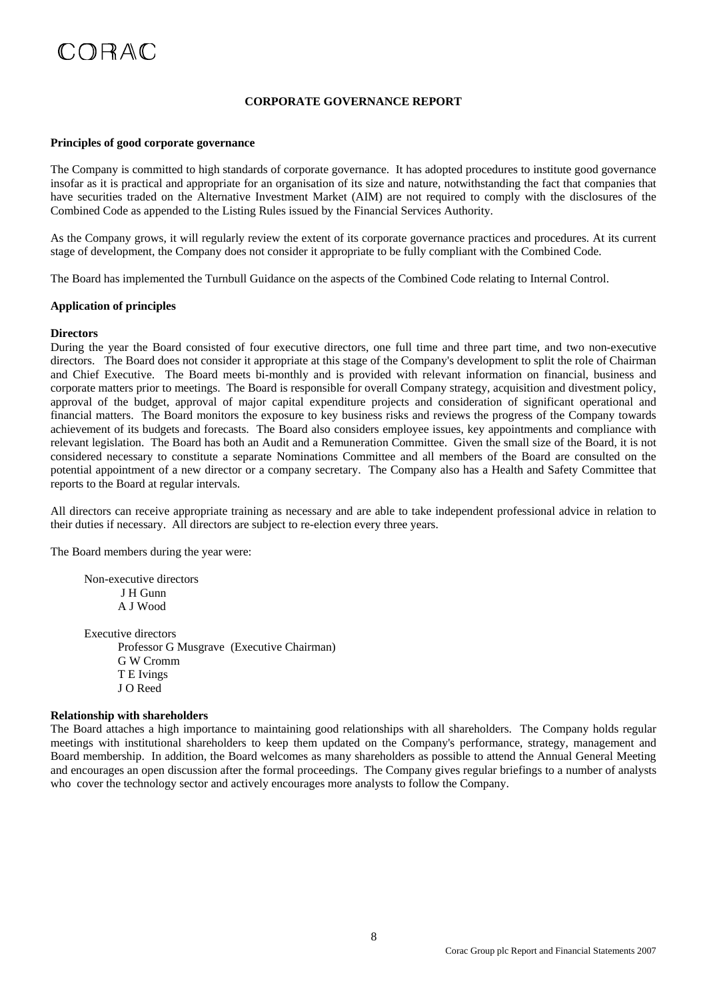### **CORPORATE GOVERNANCE REPORT**

#### **Principles of good corporate governance**

The Company is committed to high standards of corporate governance. It has adopted procedures to institute good governance insofar as it is practical and appropriate for an organisation of its size and nature, notwithstanding the fact that companies that have securities traded on the Alternative Investment Market (AIM) are not required to comply with the disclosures of the Combined Code as appended to the Listing Rules issued by the Financial Services Authority.

As the Company grows, it will regularly review the extent of its corporate governance practices and procedures. At its current stage of development, the Company does not consider it appropriate to be fully compliant with the Combined Code.

The Board has implemented the Turnbull Guidance on the aspects of the Combined Code relating to Internal Control.

#### **Application of principles**

#### **Directors**

During the year the Board consisted of four executive directors, one full time and three part time, and two non-executive directors. The Board does not consider it appropriate at this stage of the Company's development to split the role of Chairman and Chief Executive. The Board meets bi-monthly and is provided with relevant information on financial, business and corporate matters prior to meetings. The Board is responsible for overall Company strategy, acquisition and divestment policy, approval of the budget, approval of major capital expenditure projects and consideration of significant operational and financial matters. The Board monitors the exposure to key business risks and reviews the progress of the Company towards achievement of its budgets and forecasts. The Board also considers employee issues, key appointments and compliance with relevant legislation. The Board has both an Audit and a Remuneration Committee. Given the small size of the Board, it is not considered necessary to constitute a separate Nominations Committee and all members of the Board are consulted on the potential appointment of a new director or a company secretary. The Company also has a Health and Safety Committee that reports to the Board at regular intervals.

All directors can receive appropriate training as necessary and are able to take independent professional advice in relation to their duties if necessary. All directors are subject to re-election every three years.

The Board members during the year were:

 Non-executive directors J H Gunn A J Wood

 Executive directors Professor G Musgrave (Executive Chairman) G W Cromm T E Ivings J O Reed

#### **Relationship with shareholders**

The Board attaches a high importance to maintaining good relationships with all shareholders. The Company holds regular meetings with institutional shareholders to keep them updated on the Company's performance, strategy, management and Board membership. In addition, the Board welcomes as many shareholders as possible to attend the Annual General Meeting and encourages an open discussion after the formal proceedings. The Company gives regular briefings to a number of analysts who cover the technology sector and actively encourages more analysts to follow the Company.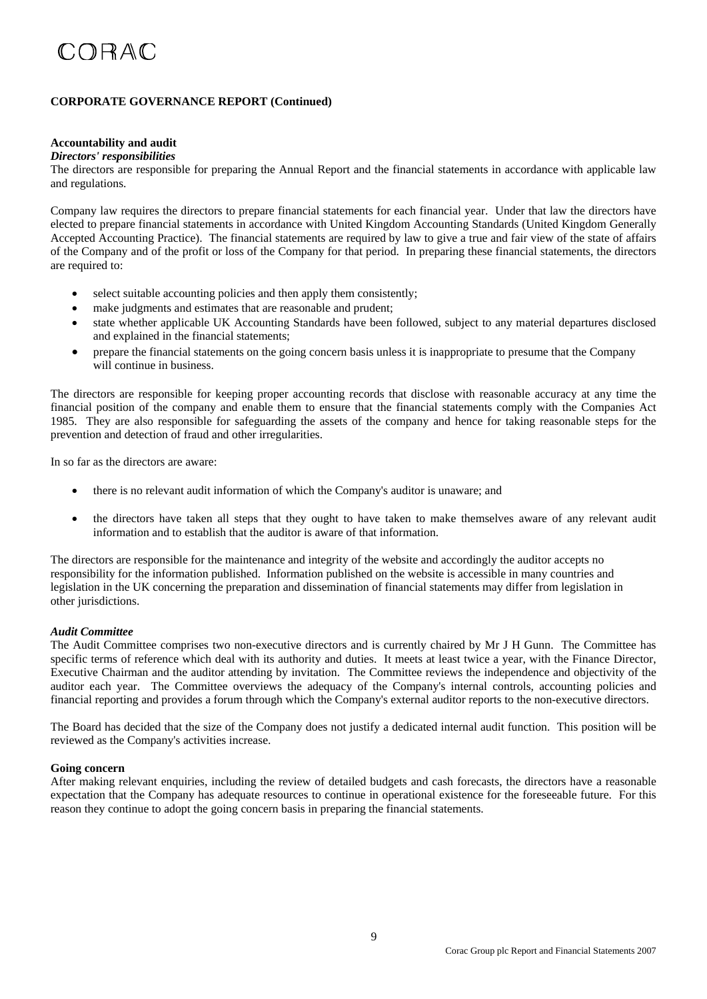# **CORPORATE GOVERNANCE REPORT (Continued)**

# **Accountability and audit**

#### *Directors' responsibilities*

The directors are responsible for preparing the Annual Report and the financial statements in accordance with applicable law and regulations.

Company law requires the directors to prepare financial statements for each financial year. Under that law the directors have elected to prepare financial statements in accordance with United Kingdom Accounting Standards (United Kingdom Generally Accepted Accounting Practice). The financial statements are required by law to give a true and fair view of the state of affairs of the Company and of the profit or loss of the Company for that period. In preparing these financial statements, the directors are required to:

- select suitable accounting policies and then apply them consistently;
- make judgments and estimates that are reasonable and prudent;
- state whether applicable UK Accounting Standards have been followed, subject to any material departures disclosed and explained in the financial statements;
- prepare the financial statements on the going concern basis unless it is inappropriate to presume that the Company will continue in business.

The directors are responsible for keeping proper accounting records that disclose with reasonable accuracy at any time the financial position of the company and enable them to ensure that the financial statements comply with the Companies Act 1985. They are also responsible for safeguarding the assets of the company and hence for taking reasonable steps for the prevention and detection of fraud and other irregularities.

In so far as the directors are aware:

- there is no relevant audit information of which the Company's auditor is unaware; and
- the directors have taken all steps that they ought to have taken to make themselves aware of any relevant audit information and to establish that the auditor is aware of that information.

The directors are responsible for the maintenance and integrity of the website and accordingly the auditor accepts no responsibility for the information published. Information published on the website is accessible in many countries and legislation in the UK concerning the preparation and dissemination of financial statements may differ from legislation in other jurisdictions.

### *Audit Committee*

The Audit Committee comprises two non-executive directors and is currently chaired by Mr J H Gunn. The Committee has specific terms of reference which deal with its authority and duties. It meets at least twice a year, with the Finance Director, Executive Chairman and the auditor attending by invitation. The Committee reviews the independence and objectivity of the auditor each year. The Committee overviews the adequacy of the Company's internal controls, accounting policies and financial reporting and provides a forum through which the Company's external auditor reports to the non-executive directors.

The Board has decided that the size of the Company does not justify a dedicated internal audit function. This position will be reviewed as the Company's activities increase.

### **Going concern**

After making relevant enquiries, including the review of detailed budgets and cash forecasts, the directors have a reasonable expectation that the Company has adequate resources to continue in operational existence for the foreseeable future. For this reason they continue to adopt the going concern basis in preparing the financial statements.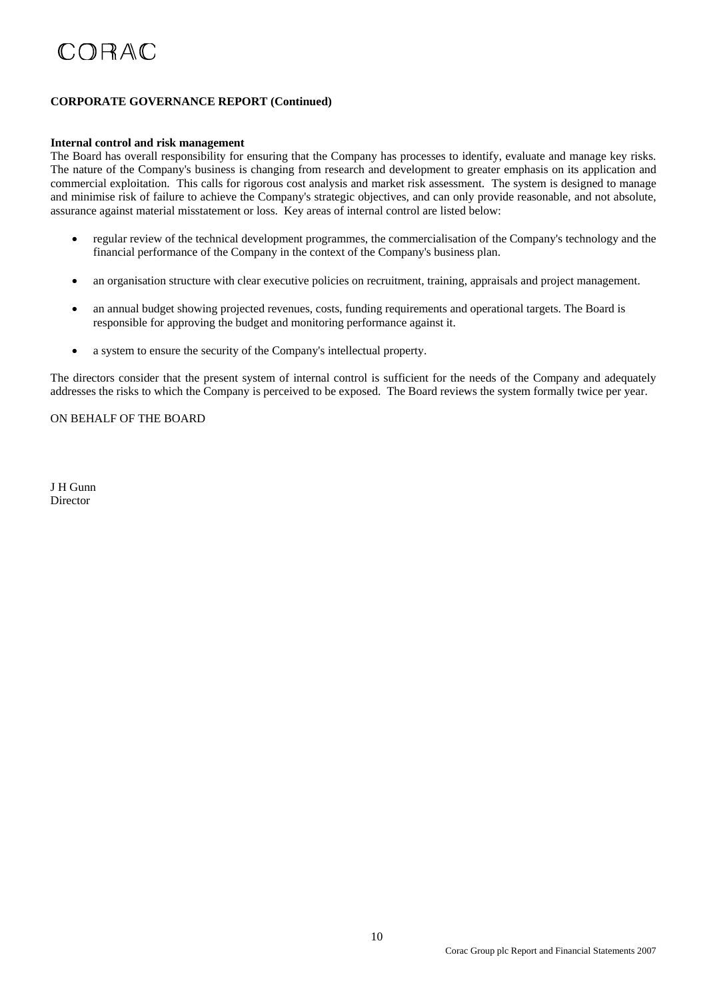# **CORPORATE GOVERNANCE REPORT (Continued)**

### **Internal control and risk management**

The Board has overall responsibility for ensuring that the Company has processes to identify, evaluate and manage key risks. The nature of the Company's business is changing from research and development to greater emphasis on its application and commercial exploitation. This calls for rigorous cost analysis and market risk assessment. The system is designed to manage and minimise risk of failure to achieve the Company's strategic objectives, and can only provide reasonable, and not absolute, assurance against material misstatement or loss. Key areas of internal control are listed below:

- regular review of the technical development programmes, the commercialisation of the Company's technology and the financial performance of the Company in the context of the Company's business plan.
- an organisation structure with clear executive policies on recruitment, training, appraisals and project management.
- an annual budget showing projected revenues, costs, funding requirements and operational targets. The Board is responsible for approving the budget and monitoring performance against it.
- a system to ensure the security of the Company's intellectual property.

The directors consider that the present system of internal control is sufficient for the needs of the Company and adequately addresses the risks to which the Company is perceived to be exposed. The Board reviews the system formally twice per year.

#### ON BEHALF OF THE BOARD

J H Gunn **Director**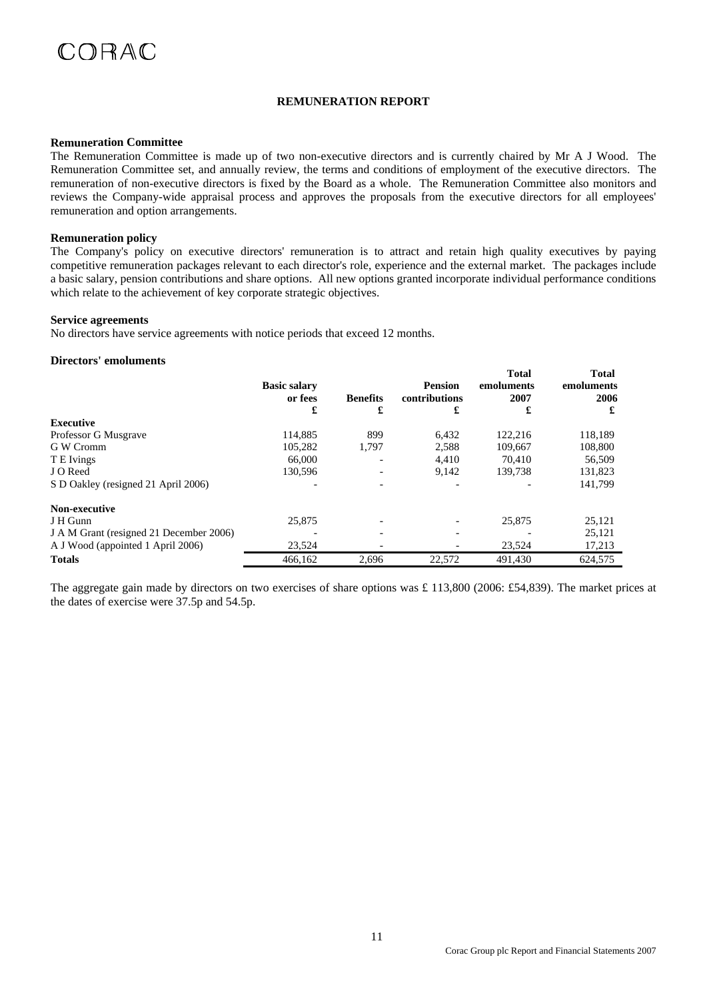### **REMUNERATION REPORT**

#### **Remuneration Committee**

The Remuneration Committee is made up of two non-executive directors and is currently chaired by Mr A J Wood. The Remuneration Committee set, and annually review, the terms and conditions of employment of the executive directors. The remuneration of non-executive directors is fixed by the Board as a whole. The Remuneration Committee also monitors and reviews the Company-wide appraisal process and approves the proposals from the executive directors for all employees' remuneration and option arrangements.

#### **Remuneration policy**

The Company's policy on executive directors' remuneration is to attract and retain high quality executives by paying competitive remuneration packages relevant to each director's role, experience and the external market. The packages include a basic salary, pension contributions and share options. All new options granted incorporate individual performance conditions which relate to the achievement of key corporate strategic objectives.

#### **Service agreements**

No directors have service agreements with notice periods that exceed 12 months.

#### **Directors' emoluments**

|                                         | <b>Basic salary</b><br>or fees<br>£ | <b>Benefits</b><br>£     | <b>Pension</b><br>contributions<br>£ | <b>Total</b><br>emoluments<br>2007<br>£ | <b>Total</b><br>emoluments<br>2006<br>£ |
|-----------------------------------------|-------------------------------------|--------------------------|--------------------------------------|-----------------------------------------|-----------------------------------------|
| Executive                               |                                     |                          |                                      |                                         |                                         |
| Professor G Musgrave                    | 114.885                             | 899                      | 6.432                                | 122,216                                 | 118,189                                 |
| G W Cromm                               | 105.282                             | 1.797                    | 2,588                                | 109,667                                 | 108,800                                 |
| T E Ivings                              | 66,000                              |                          | 4,410                                | 70.410                                  | 56,509                                  |
| J O Reed                                | 130.596                             |                          | 9.142                                | 139.738                                 | 131,823                                 |
| S D Oakley (resigned 21 April 2006)     |                                     | $\overline{\phantom{0}}$ |                                      |                                         | 141,799                                 |
| Non-executive                           |                                     |                          |                                      |                                         |                                         |
| J H Gunn                                | 25,875                              |                          |                                      | 25,875                                  | 25,121                                  |
| J A M Grant (resigned 21 December 2006) |                                     |                          | $\overline{\phantom{0}}$             |                                         | 25.121                                  |
| A J Wood (appointed 1 April 2006)       | 23,524                              |                          |                                      | 23,524                                  | 17,213                                  |
| <b>Totals</b>                           | 466.162                             | 2.696                    | 22,572                               | 491.430                                 | 624,575                                 |

The aggregate gain made by directors on two exercises of share options was £ 113,800 (2006: £54,839). The market prices at the dates of exercise were 37.5p and 54.5p.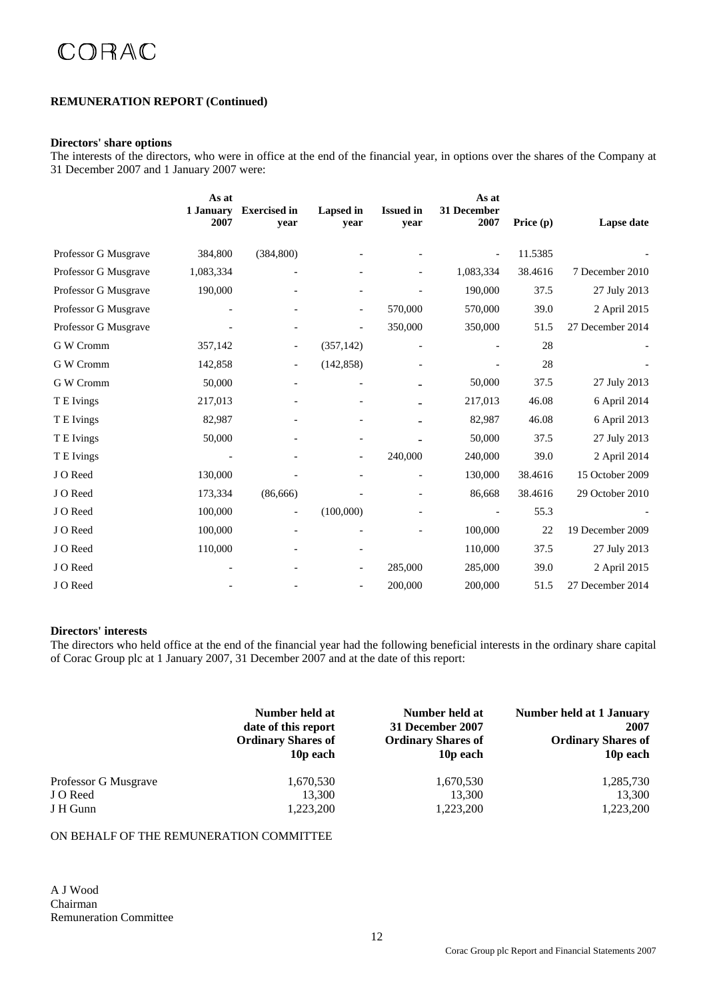# **REMUNERATION REPORT (Continued)**

### **Directors' share options**

The interests of the directors, who were in office at the end of the financial year, in options over the shares of the Company at 31 December 2007 and 1 January 2007 were:

|                      | As at<br>1 January<br>2007 | <b>Exercised</b> in<br>vear | Lapsed in<br>year        | <b>Issued in</b><br>year | As at<br>31 December<br>2007 | Price $(p)$ | Lapse date       |
|----------------------|----------------------------|-----------------------------|--------------------------|--------------------------|------------------------------|-------------|------------------|
| Professor G Musgrave | 384,800                    | (384, 800)                  |                          |                          |                              | 11.5385     |                  |
| Professor G Musgrave | 1,083,334                  |                             |                          |                          | 1,083,334                    | 38.4616     | 7 December 2010  |
| Professor G Musgrave | 190,000                    |                             |                          |                          | 190,000                      | 37.5        | 27 July 2013     |
| Professor G Musgrave |                            |                             | $\overline{\phantom{a}}$ | 570,000                  | 570,000                      | 39.0        | 2 April 2015     |
| Professor G Musgrave |                            |                             |                          | 350,000                  | 350,000                      | 51.5        | 27 December 2014 |
| G W Cromm            | 357,142                    | $\overline{\phantom{a}}$    | (357, 142)               |                          |                              | 28          |                  |
| G W Cromm            | 142,858                    | $\overline{\phantom{a}}$    | (142, 858)               |                          |                              | 28          |                  |
| G W Cromm            | 50,000                     |                             |                          |                          | 50,000                       | 37.5        | 27 July 2013     |
| T E Ivings           | 217,013                    |                             |                          |                          | 217,013                      | 46.08       | 6 April 2014     |
| T E Ivings           | 82,987                     |                             |                          |                          | 82,987                       | 46.08       | 6 April 2013     |
| T E Ivings           | 50,000                     |                             |                          |                          | 50,000                       | 37.5        | 27 July 2013     |
| T E Ivings           |                            |                             |                          | 240,000                  | 240,000                      | 39.0        | 2 April 2014     |
| J O Reed             | 130,000                    |                             |                          |                          | 130,000                      | 38.4616     | 15 October 2009  |
| J O Reed             | 173,334                    | (86,666)                    |                          |                          | 86,668                       | 38.4616     | 29 October 2010  |
| J O Reed             | 100,000                    | $\overline{\phantom{a}}$    | (100,000)                |                          |                              | 55.3        |                  |
| J O Reed             | 100,000                    |                             |                          |                          | 100,000                      | 22          | 19 December 2009 |
| J O Reed             | 110,000                    |                             |                          |                          | 110,000                      | 37.5        | 27 July 2013     |
| J O Reed             |                            |                             | $\overline{\phantom{a}}$ | 285,000                  | 285,000                      | 39.0        | 2 April 2015     |
| J O Reed             |                            |                             | $\overline{\phantom{a}}$ | 200,000                  | 200,000                      | 51.5        | 27 December 2014 |

### **Directors' interests**

The directors who held office at the end of the financial year had the following beneficial interests in the ordinary share capital of Corac Group plc at 1 January 2007, 31 December 2007 and at the date of this report:

|                      | Number held at<br>date of this report<br><b>Ordinary Shares of</b><br>10 <sub>p</sub> each | Number held at<br>31 December 2007<br><b>Ordinary Shares of</b><br>10 <sub>p</sub> each | <b>Number held at 1 January</b><br>2007<br><b>Ordinary Shares of</b><br>10 <sub>p</sub> each |
|----------------------|--------------------------------------------------------------------------------------------|-----------------------------------------------------------------------------------------|----------------------------------------------------------------------------------------------|
| Professor G Musgrave | 1,670,530                                                                                  | 1,670,530                                                                               | 1,285,730                                                                                    |
| J O Reed             | 13.300                                                                                     | 13,300                                                                                  | 13,300                                                                                       |
| J H Gunn             | 1,223,200                                                                                  | 1,223,200                                                                               | 1,223,200                                                                                    |

# ON BEHALF OF THE REMUNERATION COMMITTEE

A J Wood Chairman Remuneration Committee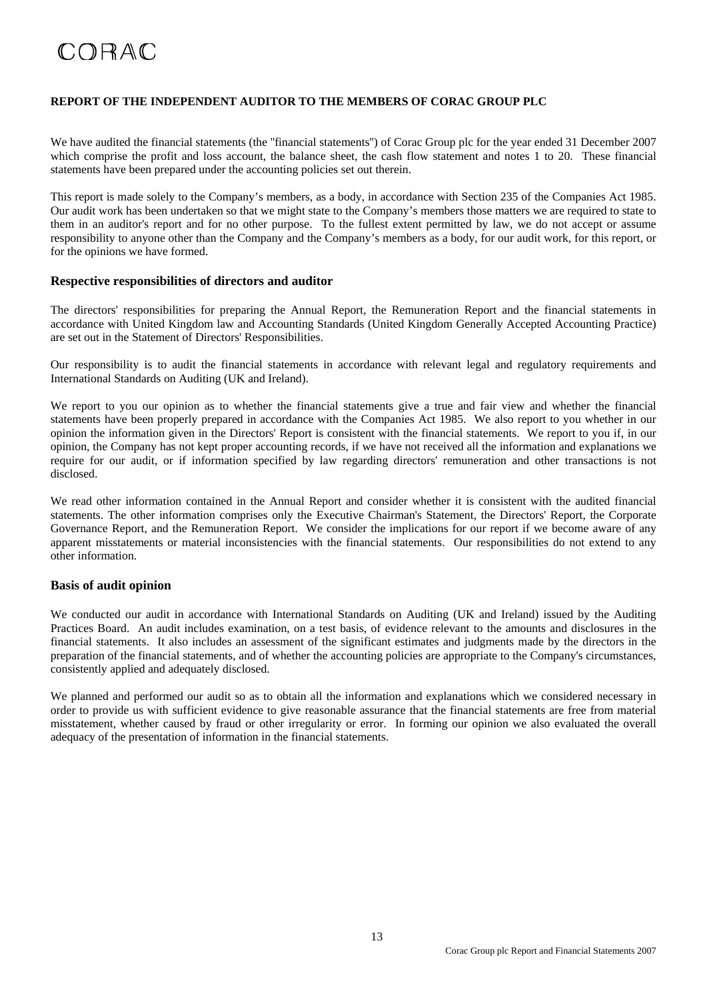# **REPORT OF THE INDEPENDENT AUDITOR TO THE MEMBERS OF CORAC GROUP PLC**

We have audited the financial statements (the ''financial statements'') of Corac Group plc for the year ended 31 December 2007 which comprise the profit and loss account, the balance sheet, the cash flow statement and notes 1 to 20. These financial statements have been prepared under the accounting policies set out therein.

This report is made solely to the Company's members, as a body, in accordance with Section 235 of the Companies Act 1985. Our audit work has been undertaken so that we might state to the Company's members those matters we are required to state to them in an auditor's report and for no other purpose. To the fullest extent permitted by law, we do not accept or assume responsibility to anyone other than the Company and the Company's members as a body, for our audit work, for this report, or for the opinions we have formed.

### **Respective responsibilities of directors and auditor**

The directors' responsibilities for preparing the Annual Report, the Remuneration Report and the financial statements in accordance with United Kingdom law and Accounting Standards (United Kingdom Generally Accepted Accounting Practice) are set out in the Statement of Directors' Responsibilities.

Our responsibility is to audit the financial statements in accordance with relevant legal and regulatory requirements and International Standards on Auditing (UK and Ireland).

We report to you our opinion as to whether the financial statements give a true and fair view and whether the financial statements have been properly prepared in accordance with the Companies Act 1985. We also report to you whether in our opinion the information given in the Directors' Report is consistent with the financial statements. We report to you if, in our opinion, the Company has not kept proper accounting records, if we have not received all the information and explanations we require for our audit, or if information specified by law regarding directors' remuneration and other transactions is not disclosed.

We read other information contained in the Annual Report and consider whether it is consistent with the audited financial statements. The other information comprises only the Executive Chairman's Statement, the Directors' Report, the Corporate Governance Report, and the Remuneration Report. We consider the implications for our report if we become aware of any apparent misstatements or material inconsistencies with the financial statements. Our responsibilities do not extend to any other information.

# **Basis of audit opinion**

We conducted our audit in accordance with International Standards on Auditing (UK and Ireland) issued by the Auditing Practices Board. An audit includes examination, on a test basis, of evidence relevant to the amounts and disclosures in the financial statements. It also includes an assessment of the significant estimates and judgments made by the directors in the preparation of the financial statements, and of whether the accounting policies are appropriate to the Company's circumstances, consistently applied and adequately disclosed.

We planned and performed our audit so as to obtain all the information and explanations which we considered necessary in order to provide us with sufficient evidence to give reasonable assurance that the financial statements are free from material misstatement, whether caused by fraud or other irregularity or error. In forming our opinion we also evaluated the overall adequacy of the presentation of information in the financial statements.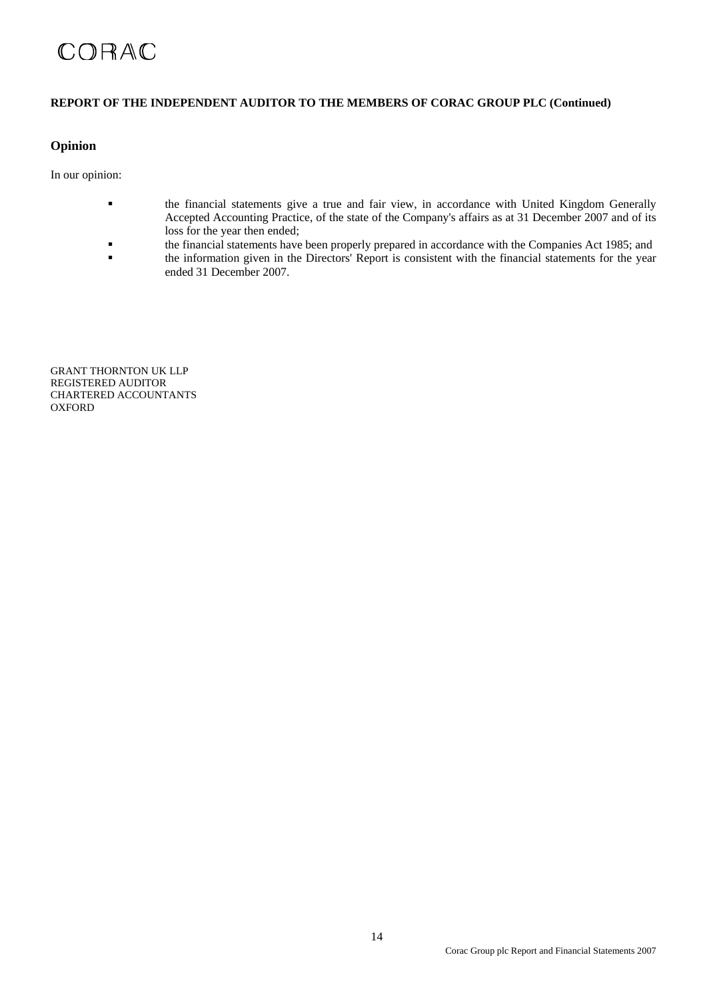# **REPORT OF THE INDEPENDENT AUDITOR TO THE MEMBERS OF CORAC GROUP PLC (Continued)**

### **Opinion**

In our opinion:

- the financial statements give a true and fair view, in accordance with United Kingdom Generally Accepted Accounting Practice, of the state of the Company's affairs as at 31 December 2007 and of its loss for the year then ended;
- **the financial statements have been properly prepared in accordance with the Companies Act 1985; and**  the information given in the Directors' Report is consistent with the financial statements for the year ended 31 December 2007.

GRANT THORNTON UK LLP REGISTERED AUDITOR CHARTERED ACCOUNTANTS **OXFORD**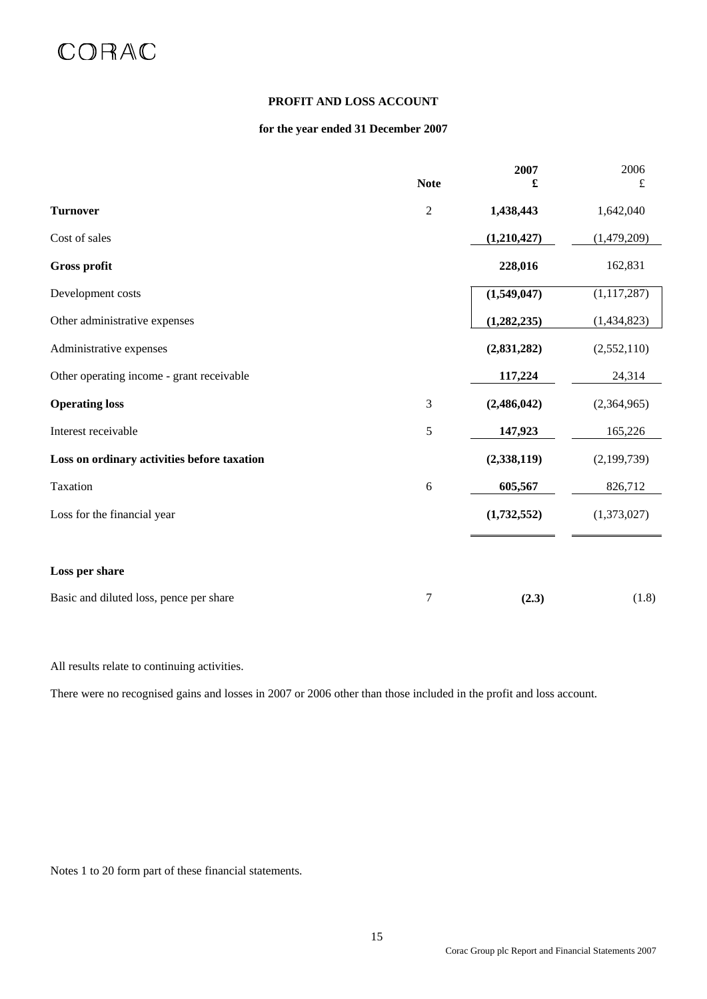# **PROFIT AND LOSS ACCOUNT**

## **for the year ended 31 December 2007**

|                                             | <b>Note</b>    | 2007<br>£   | 2006<br>£     |
|---------------------------------------------|----------------|-------------|---------------|
| <b>Turnover</b>                             | $\overline{2}$ | 1,438,443   | 1,642,040     |
| Cost of sales                               |                | (1,210,427) | (1,479,209)   |
| <b>Gross profit</b>                         |                | 228,016     | 162,831       |
| Development costs                           |                | (1,549,047) | (1, 117, 287) |
| Other administrative expenses               |                | (1,282,235) | (1,434,823)   |
| Administrative expenses                     |                | (2,831,282) | (2,552,110)   |
| Other operating income - grant receivable   |                | 117,224     | 24,314        |
| <b>Operating loss</b>                       | 3              | (2,486,042) | (2,364,965)   |
| Interest receivable                         | 5              | 147,923     | 165,226       |
| Loss on ordinary activities before taxation |                | (2,338,119) | (2,199,739)   |
| Taxation                                    | 6              | 605,567     | 826,712       |
| Loss for the financial year                 |                | (1,732,552) | (1,373,027)   |
|                                             |                |             |               |
| Loss per share                              |                |             |               |
| Basic and diluted loss, pence per share     | 7              | (2.3)       | (1.8)         |

All results relate to continuing activities.

There were no recognised gains and losses in 2007 or 2006 other than those included in the profit and loss account.

Notes 1 to 20 form part of these financial statements.

15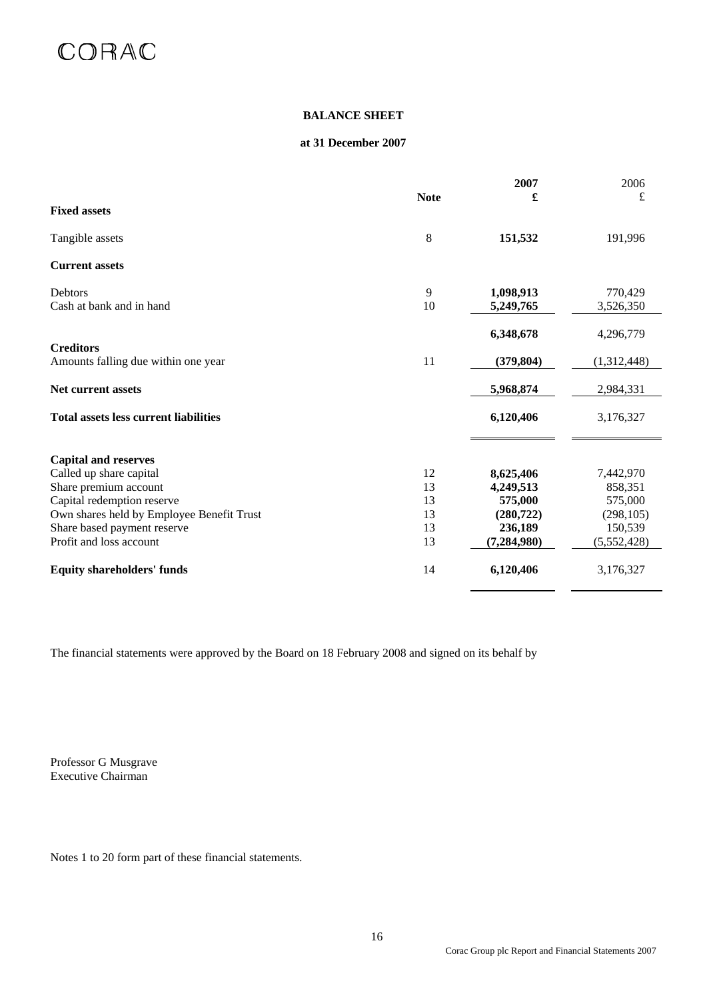# **BALANCE SHEET**

## **at 31 December 2007**

|                                              |             | 2007                   | 2006                 |
|----------------------------------------------|-------------|------------------------|----------------------|
| <b>Fixed assets</b>                          | <b>Note</b> | £                      | £                    |
| Tangible assets                              | 8           | 151,532                | 191,996              |
| <b>Current assets</b>                        |             |                        |                      |
| <b>Debtors</b><br>Cash at bank and in hand   | 9<br>10     | 1,098,913<br>5,249,765 | 770,429<br>3,526,350 |
| <b>Creditors</b>                             |             | 6,348,678              | 4,296,779            |
| Amounts falling due within one year          | 11          | (379, 804)             | (1,312,448)          |
| <b>Net current assets</b>                    |             | 5,968,874              | 2,984,331            |
| <b>Total assets less current liabilities</b> |             | 6,120,406              | 3,176,327            |
| <b>Capital and reserves</b>                  |             |                        |                      |
| Called up share capital                      | 12          | 8,625,406              | 7,442,970            |
| Share premium account                        | 13          | 4,249,513              | 858,351              |
| Capital redemption reserve                   | 13          | 575,000                | 575,000              |
| Own shares held by Employee Benefit Trust    | 13          | (280, 722)             | (298, 105)           |
| Share based payment reserve                  | 13          | 236,189                | 150,539              |
| Profit and loss account                      | 13          | (7, 284, 980)          | (5, 552, 428)        |
| <b>Equity shareholders' funds</b>            | 14          | 6,120,406              | 3,176,327            |

The financial statements were approved by the Board on 18 February 2008 and signed on its behalf by

Professor G Musgrave Executive Chairman

Notes 1 to 20 form part of these financial statements.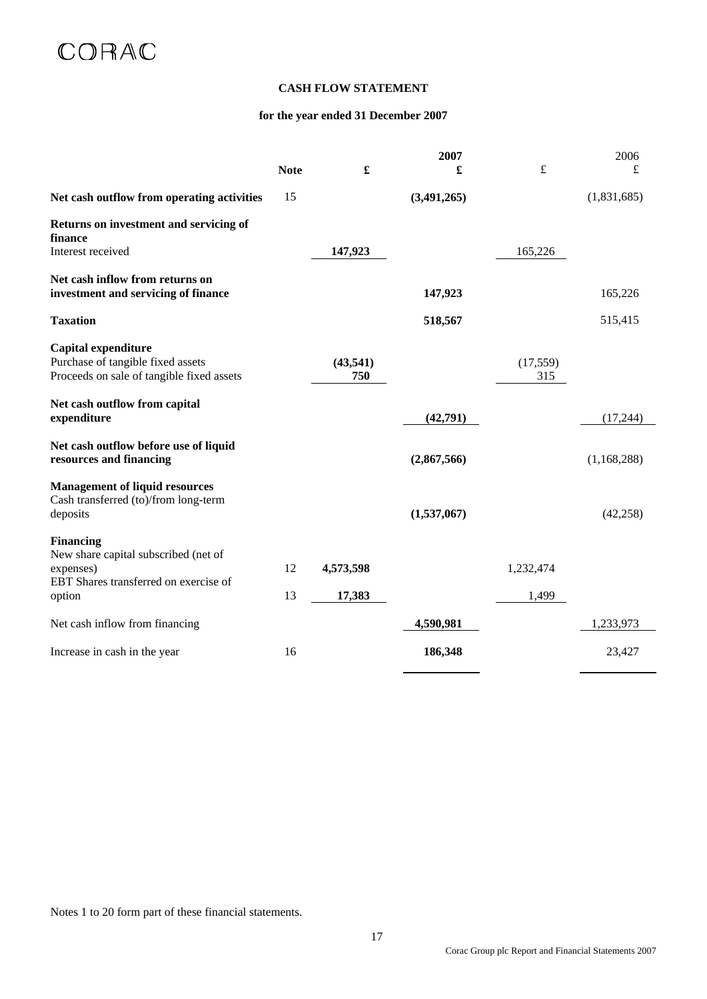# **CASH FLOW STATEMENT**

# **for the year ended 31 December 2007**

|                                                                                                              | <b>Note</b> | £               | 2007<br>£   | £                | 2006<br>£   |
|--------------------------------------------------------------------------------------------------------------|-------------|-----------------|-------------|------------------|-------------|
| Net cash outflow from operating activities                                                                   | 15          |                 | (3,491,265) |                  | (1,831,685) |
| Returns on investment and servicing of<br>finance                                                            |             |                 |             |                  |             |
| Interest received                                                                                            |             | 147,923         |             | 165,226          |             |
| Net cash inflow from returns on<br>investment and servicing of finance                                       |             |                 | 147,923     |                  | 165,226     |
| <b>Taxation</b>                                                                                              |             |                 | 518,567     |                  | 515,415     |
| <b>Capital expenditure</b><br>Purchase of tangible fixed assets<br>Proceeds on sale of tangible fixed assets |             | (43,541)<br>750 |             | (17, 559)<br>315 |             |
| Net cash outflow from capital<br>expenditure                                                                 |             |                 | (42,791)    |                  | (17,244)    |
| Net cash outflow before use of liquid<br>resources and financing                                             |             |                 | (2,867,566) |                  | (1,168,288) |
| <b>Management of liquid resources</b><br>Cash transferred (to)/from long-term<br>deposits                    |             |                 | (1,537,067) |                  | (42, 258)   |
| <b>Financing</b><br>New share capital subscribed (net of<br>expenses)                                        | 12          | 4,573,598       |             | 1,232,474        |             |
| EBT Shares transferred on exercise of<br>option                                                              | 13          | 17,383          |             | 1,499            |             |
| Net cash inflow from financing                                                                               |             |                 | 4,590,981   |                  | 1,233,973   |
| Increase in cash in the year                                                                                 | 16          |                 | 186,348     |                  | 23,427      |

Notes 1 to 20 form part of these financial statements.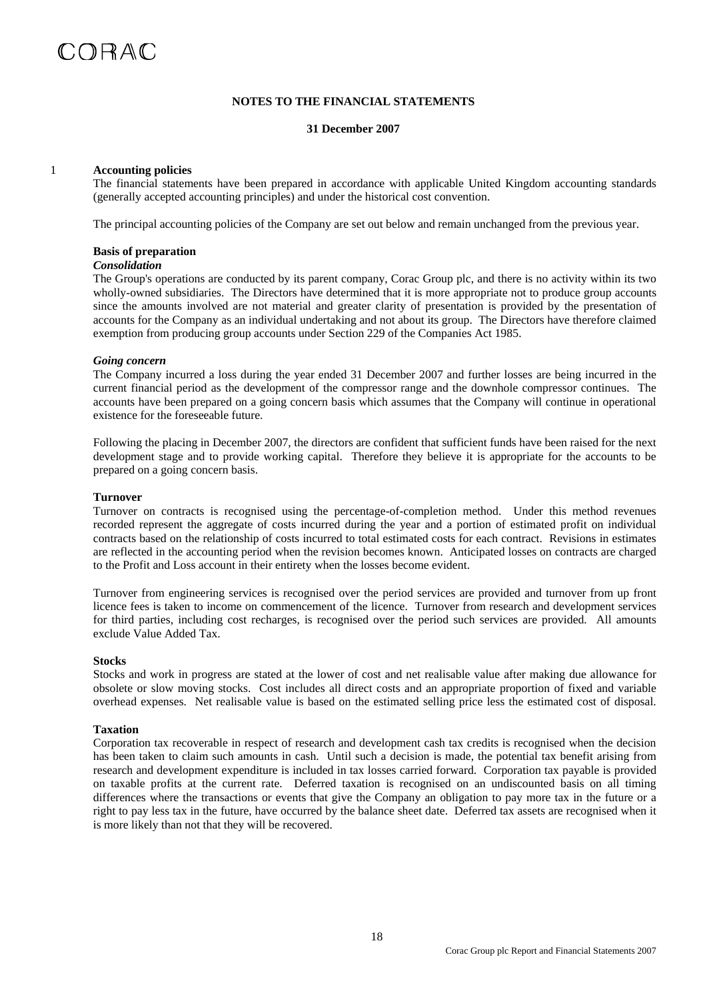#### **NOTES TO THE FINANCIAL STATEMENTS**

#### **31 December 2007**

#### 1 **Accounting policies**

The financial statements have been prepared in accordance with applicable United Kingdom accounting standards (generally accepted accounting principles) and under the historical cost convention.

The principal accounting policies of the Company are set out below and remain unchanged from the previous year.

#### **Basis of preparation**

#### *Consolidation*

The Group's operations are conducted by its parent company, Corac Group plc, and there is no activity within its two wholly-owned subsidiaries. The Directors have determined that it is more appropriate not to produce group accounts since the amounts involved are not material and greater clarity of presentation is provided by the presentation of accounts for the Company as an individual undertaking and not about its group. The Directors have therefore claimed exemption from producing group accounts under Section 229 of the Companies Act 1985.

#### *Going concern*

The Company incurred a loss during the year ended 31 December 2007 and further losses are being incurred in the current financial period as the development of the compressor range and the downhole compressor continues. The accounts have been prepared on a going concern basis which assumes that the Company will continue in operational existence for the foreseeable future.

Following the placing in December 2007, the directors are confident that sufficient funds have been raised for the next development stage and to provide working capital. Therefore they believe it is appropriate for the accounts to be prepared on a going concern basis.

#### **Turnover**

Turnover on contracts is recognised using the percentage-of-completion method. Under this method revenues recorded represent the aggregate of costs incurred during the year and a portion of estimated profit on individual contracts based on the relationship of costs incurred to total estimated costs for each contract. Revisions in estimates are reflected in the accounting period when the revision becomes known. Anticipated losses on contracts are charged to the Profit and Loss account in their entirety when the losses become evident.

Turnover from engineering services is recognised over the period services are provided and turnover from up front licence fees is taken to income on commencement of the licence. Turnover from research and development services for third parties, including cost recharges, is recognised over the period such services are provided. All amounts exclude Value Added Tax.

#### **Stocks**

Stocks and work in progress are stated at the lower of cost and net realisable value after making due allowance for obsolete or slow moving stocks. Cost includes all direct costs and an appropriate proportion of fixed and variable overhead expenses. Net realisable value is based on the estimated selling price less the estimated cost of disposal.

#### **Taxation**

Corporation tax recoverable in respect of research and development cash tax credits is recognised when the decision has been taken to claim such amounts in cash. Until such a decision is made, the potential tax benefit arising from research and development expenditure is included in tax losses carried forward. Corporation tax payable is provided on taxable profits at the current rate. Deferred taxation is recognised on an undiscounted basis on all timing differences where the transactions or events that give the Company an obligation to pay more tax in the future or a right to pay less tax in the future, have occurred by the balance sheet date. Deferred tax assets are recognised when it is more likely than not that they will be recovered.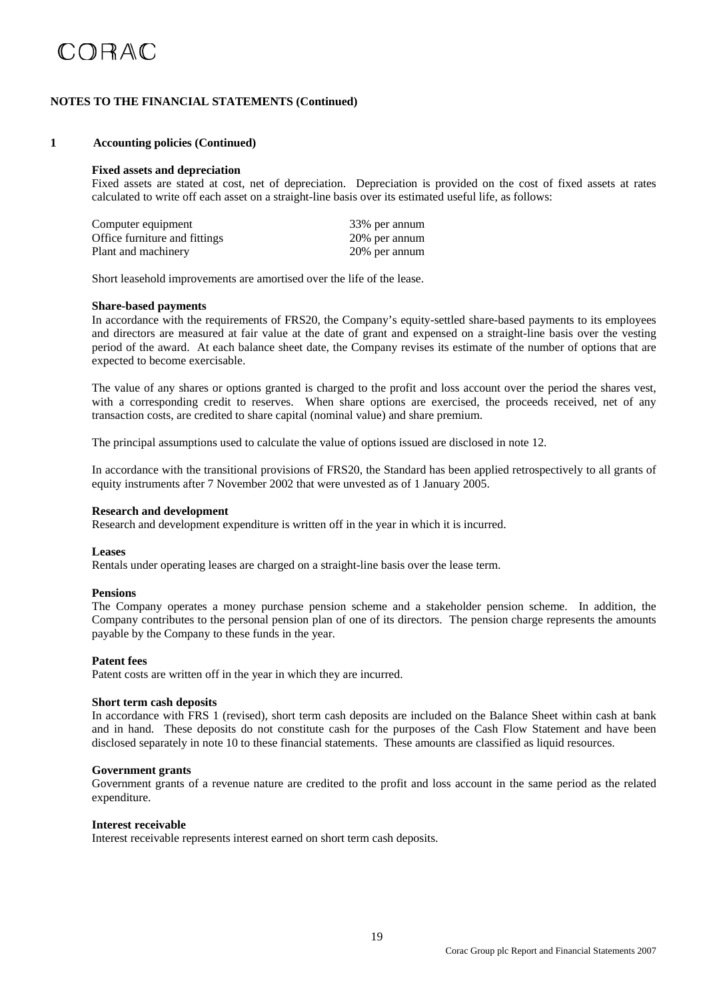# **NOTES TO THE FINANCIAL STATEMENTS (Continued)**

#### **1 Accounting policies (Continued)**

#### **Fixed assets and depreciation**

Fixed assets are stated at cost, net of depreciation. Depreciation is provided on the cost of fixed assets at rates calculated to write off each asset on a straight-line basis over its estimated useful life, as follows:

| Computer equipment            | 33% per annum |
|-------------------------------|---------------|
| Office furniture and fittings | 20% per annum |
| Plant and machinery           | 20% per annum |

Short leasehold improvements are amortised over the life of the lease.

#### **Share-based payments**

In accordance with the requirements of FRS20, the Company's equity-settled share-based payments to its employees and directors are measured at fair value at the date of grant and expensed on a straight-line basis over the vesting period of the award. At each balance sheet date, the Company revises its estimate of the number of options that are expected to become exercisable.

The value of any shares or options granted is charged to the profit and loss account over the period the shares vest, with a corresponding credit to reserves. When share options are exercised, the proceeds received, net of any transaction costs, are credited to share capital (nominal value) and share premium.

The principal assumptions used to calculate the value of options issued are disclosed in note 12.

In accordance with the transitional provisions of FRS20, the Standard has been applied retrospectively to all grants of equity instruments after 7 November 2002 that were unvested as of 1 January 2005.

#### **Research and development**

Research and development expenditure is written off in the year in which it is incurred.

#### **Leases**

Rentals under operating leases are charged on a straight-line basis over the lease term.

#### **Pensions**

The Company operates a money purchase pension scheme and a stakeholder pension scheme. In addition, the Company contributes to the personal pension plan of one of its directors. The pension charge represents the amounts payable by the Company to these funds in the year.

#### **Patent fees**

Patent costs are written off in the year in which they are incurred.

#### **Short term cash deposits**

In accordance with FRS 1 (revised), short term cash deposits are included on the Balance Sheet within cash at bank and in hand. These deposits do not constitute cash for the purposes of the Cash Flow Statement and have been disclosed separately in note 10 to these financial statements. These amounts are classified as liquid resources.

#### **Government grants**

Government grants of a revenue nature are credited to the profit and loss account in the same period as the related expenditure.

#### **Interest receivable**

Interest receivable represents interest earned on short term cash deposits.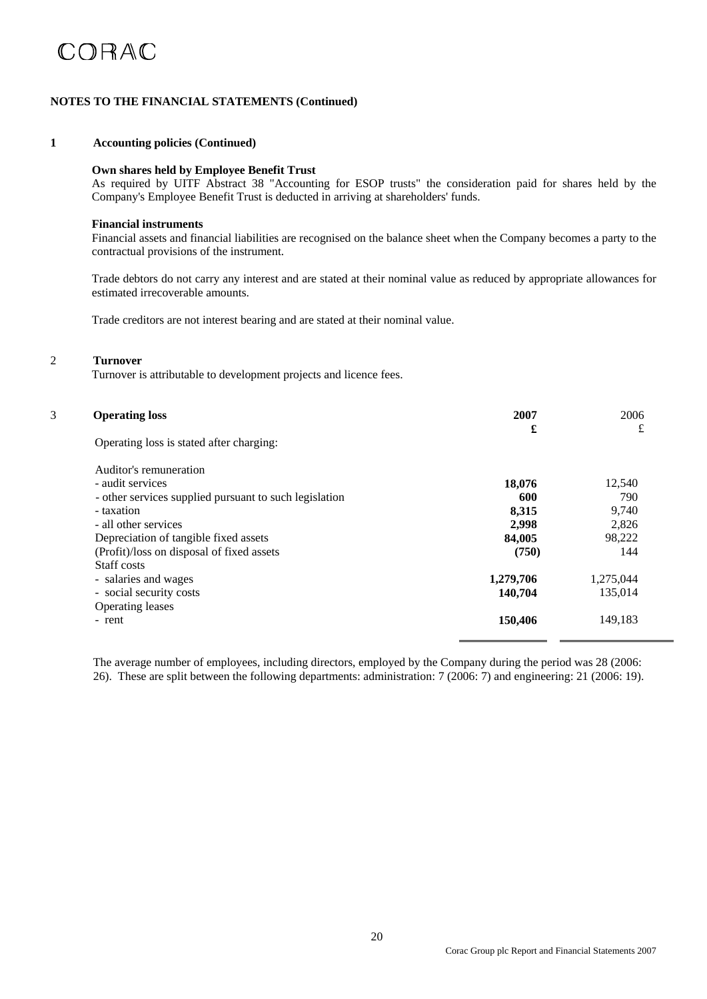# **NOTES TO THE FINANCIAL STATEMENTS (Continued)**

#### **1 Accounting policies (Continued)**

#### **Own shares held by Employee Benefit Trust**

As required by UITF Abstract 38 "Accounting for ESOP trusts" the consideration paid for shares held by the Company's Employee Benefit Trust is deducted in arriving at shareholders' funds.

#### **Financial instruments**

Financial assets and financial liabilities are recognised on the balance sheet when the Company becomes a party to the contractual provisions of the instrument.

Trade debtors do not carry any interest and are stated at their nominal value as reduced by appropriate allowances for estimated irrecoverable amounts.

Trade creditors are not interest bearing and are stated at their nominal value.

#### 2 **Turnover**

Turnover is attributable to development projects and licence fees.

| 3 | <b>Operating loss</b>                                  | 2007<br>£ | 2006<br>£ |
|---|--------------------------------------------------------|-----------|-----------|
|   | Operating loss is stated after charging:               |           |           |
|   | Auditor's remuneration                                 |           |           |
|   | - audit services                                       | 18,076    | 12,540    |
|   | - other services supplied pursuant to such legislation | 600       | 790       |
|   | - taxation                                             | 8,315     | 9,740     |
|   | - all other services                                   | 2,998     | 2,826     |
|   | Depreciation of tangible fixed assets                  | 84,005    | 98.222    |
|   | (Profit)/loss on disposal of fixed assets              | (750)     | 144       |
|   | Staff costs                                            |           |           |
|   | - salaries and wages                                   | 1,279,706 | 1,275,044 |
|   | - social security costs                                | 140,704   | 135,014   |
|   | Operating leases                                       |           |           |
|   | - rent                                                 | 150,406   | 149,183   |

The average number of employees, including directors, employed by the Company during the period was 28 (2006: 26). These are split between the following departments: administration: 7 (2006: 7) and engineering: 21 (2006: 19).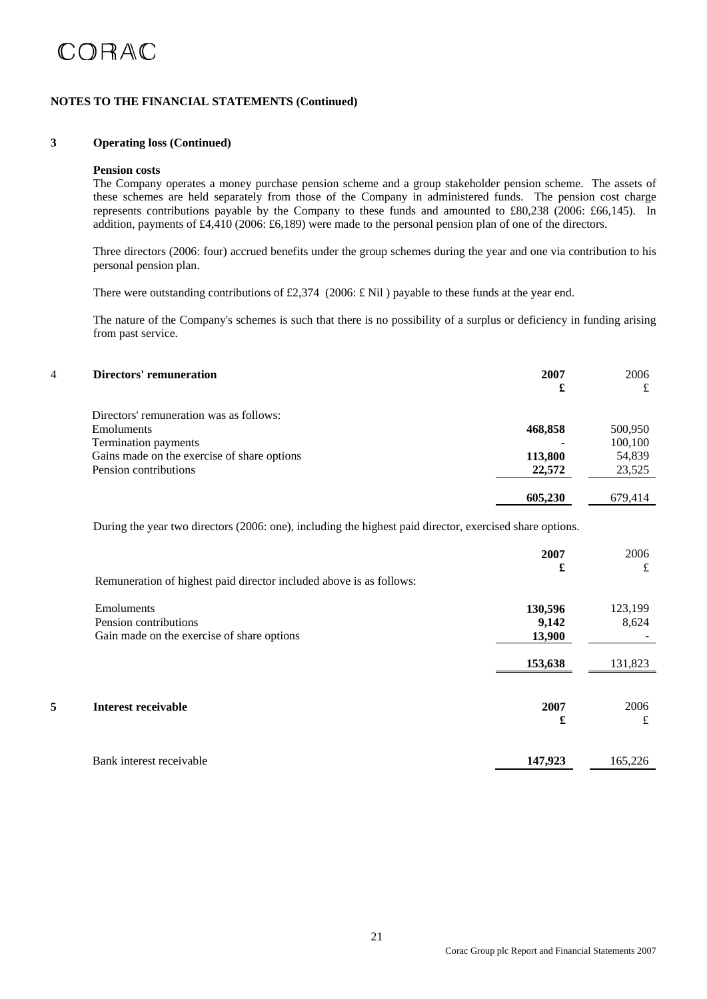# **NOTES TO THE FINANCIAL STATEMENTS (Continued)**

### **3 Operating loss (Continued)**

#### **Pension costs**

The Company operates a money purchase pension scheme and a group stakeholder pension scheme. The assets of these schemes are held separately from those of the Company in administered funds. The pension cost charge represents contributions payable by the Company to these funds and amounted to £80,238 (2006: £66,145). In addition, payments of £4,410 (2006: £6,189) were made to the personal pension plan of one of the directors.

Three directors (2006: four) accrued benefits under the group schemes during the year and one via contribution to his personal pension plan.

There were outstanding contributions of £2,374 (2006: £ Nil) payable to these funds at the year end.

The nature of the Company's schemes is such that there is no possibility of a surplus or deficiency in funding arising from past service.

| <b>Directors' remuneration</b><br>4         | 2007<br>£ | 2006<br>£ |
|---------------------------------------------|-----------|-----------|
| Directors' remuneration was as follows:     |           |           |
| <b>Emoluments</b>                           | 468,858   | 500,950   |
| Termination payments                        |           | 100,100   |
| Gains made on the exercise of share options | 113,800   | 54,839    |
| Pension contributions                       | 22,572    | 23,525    |
|                                             | 605,230   | 679.414   |

During the year two directors (2006: one), including the highest paid director, exercised share options.

|   | Remuneration of highest paid director included above is as follows:               | 2007<br>£                  | 2006<br>£        |
|---|-----------------------------------------------------------------------------------|----------------------------|------------------|
|   | Emoluments<br>Pension contributions<br>Gain made on the exercise of share options | 130,596<br>9,142<br>13,900 | 123,199<br>8,624 |
|   |                                                                                   | 153,638                    | 131,823          |
| 5 | <b>Interest receivable</b>                                                        | 2007<br>£                  | 2006<br>£        |
|   | Bank interest receivable                                                          | 147,923                    | 165,226          |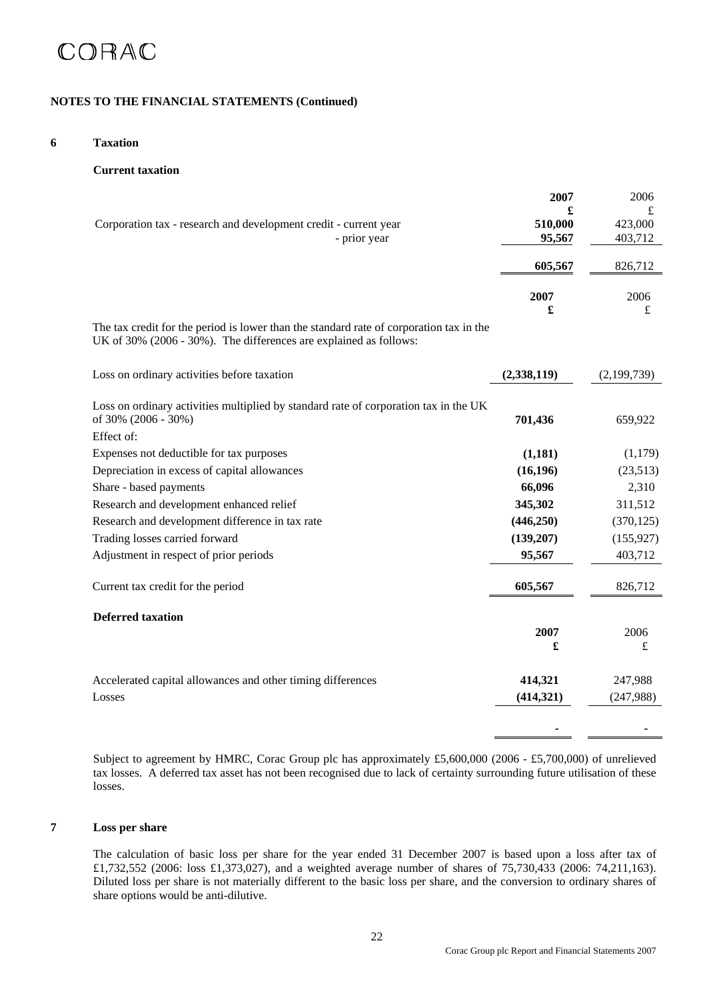# **NOTES TO THE FINANCIAL STATEMENTS (Continued)**

#### **6 Taxation**

#### **Current taxation**

|                                                                                                                                                              | 2007              | 2006                    |
|--------------------------------------------------------------------------------------------------------------------------------------------------------------|-------------------|-------------------------|
| Corporation tax - research and development credit - current year<br>- prior year                                                                             | 510,000<br>95,567 | £<br>423,000<br>403,712 |
|                                                                                                                                                              | 605,567           | 826,712                 |
|                                                                                                                                                              | 2007<br>£         | 2006<br>£               |
| The tax credit for the period is lower than the standard rate of corporation tax in the<br>UK of 30% (2006 - 30%). The differences are explained as follows: |                   |                         |
| Loss on ordinary activities before taxation                                                                                                                  | (2,338,119)       | (2,199,739)             |
| Loss on ordinary activities multiplied by standard rate of corporation tax in the UK<br>of 30% (2006 - 30%)                                                  | 701,436           | 659,922                 |
| Effect of:                                                                                                                                                   |                   |                         |
| Expenses not deductible for tax purposes                                                                                                                     | (1,181)           | (1,179)                 |
| Depreciation in excess of capital allowances                                                                                                                 | (16, 196)         | (23,513)                |
| Share - based payments                                                                                                                                       | 66,096            | 2,310                   |
| Research and development enhanced relief                                                                                                                     | 345,302           | 311,512                 |
| Research and development difference in tax rate                                                                                                              | (446,250)         | (370, 125)              |
| Trading losses carried forward                                                                                                                               | (139,207)         | (155, 927)              |
| Adjustment in respect of prior periods                                                                                                                       | 95,567            | 403,712                 |
| Current tax credit for the period                                                                                                                            | 605,567           | 826,712                 |
| <b>Deferred taxation</b>                                                                                                                                     |                   |                         |
|                                                                                                                                                              | 2007<br>£         | 2006<br>£               |
|                                                                                                                                                              |                   |                         |
| Accelerated capital allowances and other timing differences                                                                                                  | 414,321           | 247,988                 |
| Losses                                                                                                                                                       | (414, 321)        | (247,988)               |

Subject to agreement by HMRC, Corac Group plc has approximately £5,600,000 (2006 - £5,700,000) of unrelieved tax losses. A deferred tax asset has not been recognised due to lack of certainty surrounding future utilisation of these losses.

# **7 Loss per share**

The calculation of basic loss per share for the year ended 31 December 2007 is based upon a loss after tax of £1,732,552 (2006: loss £1,373,027), and a weighted average number of shares of 75,730,433 (2006: 74,211,163). Diluted loss per share is not materially different to the basic loss per share, and the conversion to ordinary shares of share options would be anti-dilutive.

**-** 

**-**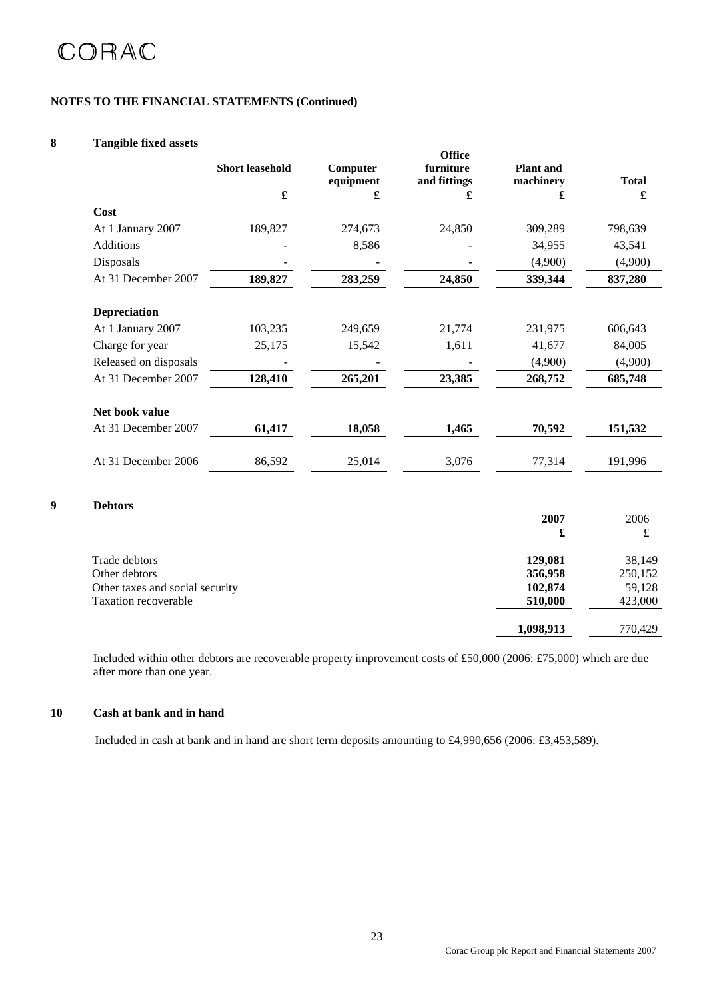# **NOTES TO THE FINANCIAL STATEMENTS (Continued)**

# **8 Tangible fixed assets**

|                       | <b>Short leasehold</b> | Computer<br>equipment | <b>Office</b><br>furniture<br>and fittings | <b>Plant</b> and<br>machinery | <b>Total</b> |
|-----------------------|------------------------|-----------------------|--------------------------------------------|-------------------------------|--------------|
|                       | $\pmb{\mathfrak{L}}$   | £                     | £                                          | £                             | £            |
| Cost                  |                        |                       |                                            |                               |              |
| At 1 January 2007     | 189,827                | 274,673               | 24,850                                     | 309,289                       | 798,639      |
| Additions             |                        | 8,586                 |                                            | 34,955                        | 43,541       |
| Disposals             |                        |                       |                                            | (4,900)                       | (4,900)      |
| At 31 December 2007   | 189,827                | 283,259               | 24,850                                     | 339,344                       | 837,280      |
| <b>Depreciation</b>   |                        |                       |                                            |                               |              |
| At 1 January 2007     | 103,235                | 249,659               | 21,774                                     | 231,975                       | 606,643      |
| Charge for year       | 25,175                 | 15,542                | 1,611                                      | 41,677                        | 84,005       |
| Released on disposals |                        |                       |                                            | (4,900)                       | (4,900)      |
| At 31 December 2007   | 128,410                | 265,201               | 23,385                                     | 268,752                       | 685,748      |
| Net book value        |                        |                       |                                            |                               |              |
| At 31 December 2007   | 61,417                 | 18,058                | 1,465                                      | 70,592                        | 151,532      |
|                       | 86,592                 | 25,014                | 3,076                                      | 77,314                        | 191,996      |

|                                 | 2007      | 2006    |
|---------------------------------|-----------|---------|
|                                 | £         | £       |
| Trade debtors                   | 129,081   | 38,149  |
| Other debtors                   | 356,958   | 250,152 |
| Other taxes and social security | 102,874   | 59,128  |
| Taxation recoverable            | 510,000   | 423,000 |
|                                 | 1,098,913 | 770.429 |

Included within other debtors are recoverable property improvement costs of £50,000 (2006: £75,000) which are due after more than one year.

### **10 Cash at bank and in hand**

Included in cash at bank and in hand are short term deposits amounting to £4,990,656 (2006: £3,453,589).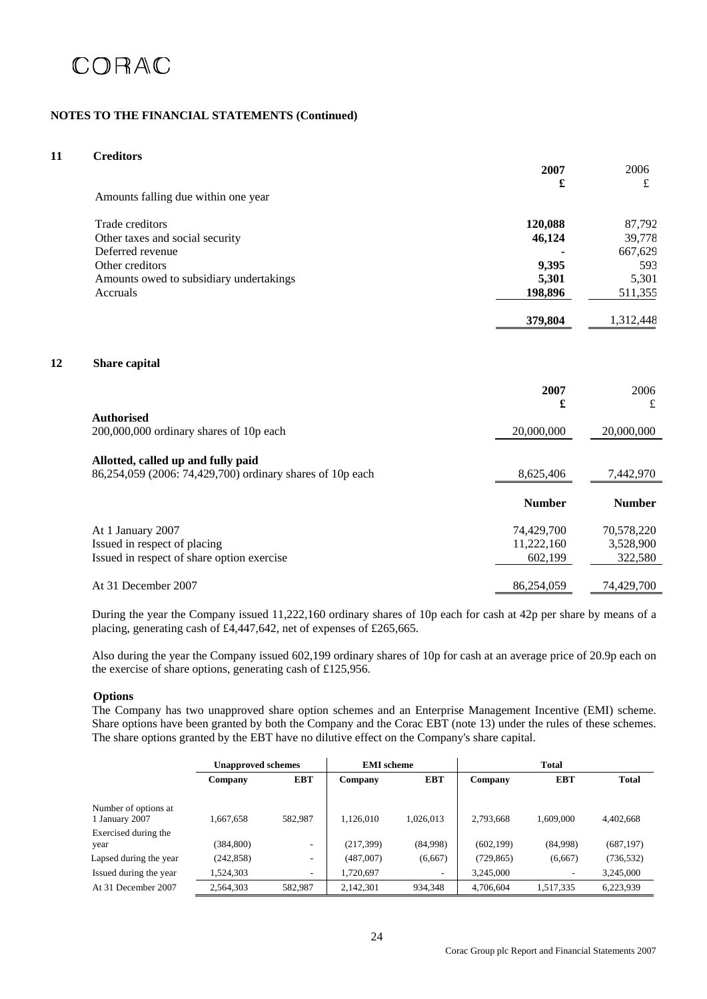# **NOTES TO THE FINANCIAL STATEMENTS (Continued)**

### **11 Creditors**

|                                         | 2007    | 2006      |
|-----------------------------------------|---------|-----------|
|                                         | £       |           |
| Amounts falling due within one year.    |         |           |
| Trade creditors                         | 120,088 | 87,792    |
| Other taxes and social security         | 46,124  | 39,778    |
| Deferred revenue                        |         | 667,629   |
| Other creditors                         | 9.395   | 593       |
| Amounts owed to subsidiary undertakings | 5,301   | 5,301     |
| Accruals                                | 198,896 | 511,355   |
|                                         | 379,804 | 1,312,448 |

### **12 Share capital**

|                                                           | 2007<br>£     | 2006<br>£     |
|-----------------------------------------------------------|---------------|---------------|
| <b>Authorised</b>                                         |               |               |
| $200,000,000$ ordinary shares of 10p each                 | 20,000,000    | 20,000,000    |
| Allotted, called up and fully paid                        |               |               |
| 86,254,059 (2006: 74,429,700) ordinary shares of 10p each | 8,625,406     | 7,442,970     |
|                                                           |               |               |
|                                                           | <b>Number</b> | <b>Number</b> |
| At 1 January 2007                                         | 74,429,700    | 70,578,220    |
| Issued in respect of placing                              | 11,222,160    | 3,528,900     |
| Issued in respect of share option exercise                | 602,199       | 322,580       |

During the year the Company issued 11,222,160 ordinary shares of 10p each for cash at 42p per share by means of a placing, generating cash of £4,447,642, net of expenses of £265,665.

Also during the year the Company issued 602,199 ordinary shares of 10p for cash at an average price of 20.9p each on the exercise of share options, generating cash of £125,956.

#### **Options**

 The Company has two unapproved share option schemes and an Enterprise Management Incentive (EMI) scheme. Share options have been granted by both the Company and the Corac EBT (note 13) under the rules of these schemes. The share options granted by the EBT have no dilutive effect on the Company's share capital.

|                                      | <b>Unapproved schemes</b> |                          | <b>EMI</b> scheme |                          | <b>Total</b> |            |              |
|--------------------------------------|---------------------------|--------------------------|-------------------|--------------------------|--------------|------------|--------------|
|                                      | <b>EBT</b><br>Company     |                          | Company           | <b>EBT</b>               | Company      | <b>EBT</b> | <b>Total</b> |
| Number of options at<br>January 2007 | 1,667,658                 | 582.987                  | 1.126.010         | 1,026,013                | 2.793.668    | 1.609.000  | 4,402,668    |
| Exercised during the<br>year         | (384, 800)                | $\overline{\phantom{a}}$ | (217,399)         | (84,998)                 | (602, 199)   | (84,998)   | (687, 197)   |
| Lapsed during the year               | (242, 858)                | ۰                        | (487,007)         | (6,667)                  | (729, 865)   | (6,667)    | (736, 532)   |
| Issued during the year               | 1,524,303                 | $\overline{\phantom{a}}$ | 1.720.697         | $\overline{\phantom{a}}$ | 3,245,000    |            | 3,245,000    |
| At 31 December 2007                  | 2,564,303                 | 582,987                  | 2,142,301         | 934,348                  | 4,706,604    | 1,517,335  | 6,223,939    |

24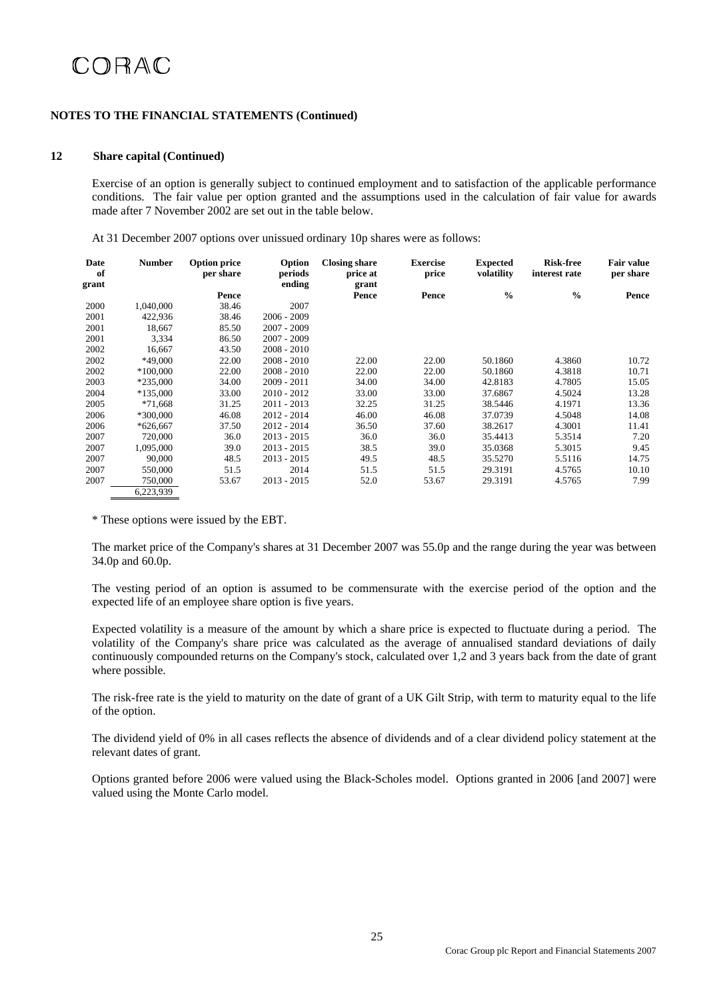## **NOTES TO THE FINANCIAL STATEMENTS (Continued)**

#### **12 Share capital (Continued)**

Exercise of an option is generally subject to continued employment and to satisfaction of the applicable performance conditions. The fair value per option granted and the assumptions used in the calculation of fair value for awards made after 7 November 2002 are set out in the table below.

At 31 December 2007 options over unissued ordinary 10p shares were as follows:

| Date  | <b>Number</b> | <b>Option price</b> | Option        | <b>Closing share</b> | <b>Exercise</b> | <b>Expected</b> | <b>Risk-free</b> | <b>Fair value</b> |
|-------|---------------|---------------------|---------------|----------------------|-----------------|-----------------|------------------|-------------------|
| of    |               | per share           | periods       | price at             | price           | volatility      | interest rate    | per share         |
| grant |               |                     | ending        | grant                |                 |                 |                  |                   |
|       |               | Pence               |               | Pence                | Pence           | $\frac{0}{0}$   | $\frac{0}{0}$    | Pence             |
| 2000  | 1,040,000     | 38.46               | 2007          |                      |                 |                 |                  |                   |
| 2001  | 422,936       | 38.46               | $2006 - 2009$ |                      |                 |                 |                  |                   |
| 2001  | 18,667        | 85.50               | $2007 - 2009$ |                      |                 |                 |                  |                   |
| 2001  | 3,334         | 86.50               | $2007 - 2009$ |                      |                 |                 |                  |                   |
| 2002  | 16,667        | 43.50               | $2008 - 2010$ |                      |                 |                 |                  |                   |
| 2002  | *49,000       | 22.00               | $2008 - 2010$ | 22.00                | 22.00           | 50.1860         | 4.3860           | 10.72             |
| 2002  | $*100,000$    | 22.00               | $2008 - 2010$ | 22.00                | 22.00           | 50.1860         | 4.3818           | 10.71             |
| 2003  | $*235,000$    | 34.00               | $2009 - 2011$ | 34.00                | 34.00           | 42.8183         | 4.7805           | 15.05             |
| 2004  | $*135,000$    | 33.00               | $2010 - 2012$ | 33.00                | 33.00           | 37.6867         | 4.5024           | 13.28             |
| 2005  | $*71.668$     | 31.25               | $2011 - 2013$ | 32.25                | 31.25           | 38.5446         | 4.1971           | 13.36             |
| 2006  | *300,000      | 46.08               | $2012 - 2014$ | 46.00                | 46.08           | 37.0739         | 4.5048           | 14.08             |
| 2006  | $*626,667$    | 37.50               | $2012 - 2014$ | 36.50                | 37.60           | 38.2617         | 4.3001           | 11.41             |
| 2007  | 720,000       | 36.0                | $2013 - 2015$ | 36.0                 | 36.0            | 35.4413         | 5.3514           | 7.20              |
| 2007  | 1,095,000     | 39.0                | $2013 - 2015$ | 38.5                 | 39.0            | 35.0368         | 5.3015           | 9.45              |
| 2007  | 90,000        | 48.5                | $2013 - 2015$ | 49.5                 | 48.5            | 35.5270         | 5.5116           | 14.75             |
| 2007  | 550,000       | 51.5                | 2014          | 51.5                 | 51.5            | 29.3191         | 4.5765           | 10.10             |
| 2007  | 750,000       | 53.67               | $2013 - 2015$ | 52.0                 | 53.67           | 29.3191         | 4.5765           | 7.99              |
|       | 6,223,939     |                     |               |                      |                 |                 |                  |                   |

\* These options were issued by the EBT.

The market price of the Company's shares at 31 December 2007 was 55.0p and the range during the year was between 34.0p and 60.0p.

The vesting period of an option is assumed to be commensurate with the exercise period of the option and the expected life of an employee share option is five years.

Expected volatility is a measure of the amount by which a share price is expected to fluctuate during a period. The volatility of the Company's share price was calculated as the average of annualised standard deviations of daily continuously compounded returns on the Company's stock, calculated over 1,2 and 3 years back from the date of grant where possible.

The risk-free rate is the yield to maturity on the date of grant of a UK Gilt Strip, with term to maturity equal to the life of the option.

The dividend yield of 0% in all cases reflects the absence of dividends and of a clear dividend policy statement at the relevant dates of grant.

Options granted before 2006 were valued using the Black-Scholes model. Options granted in 2006 [and 2007] were valued using the Monte Carlo model.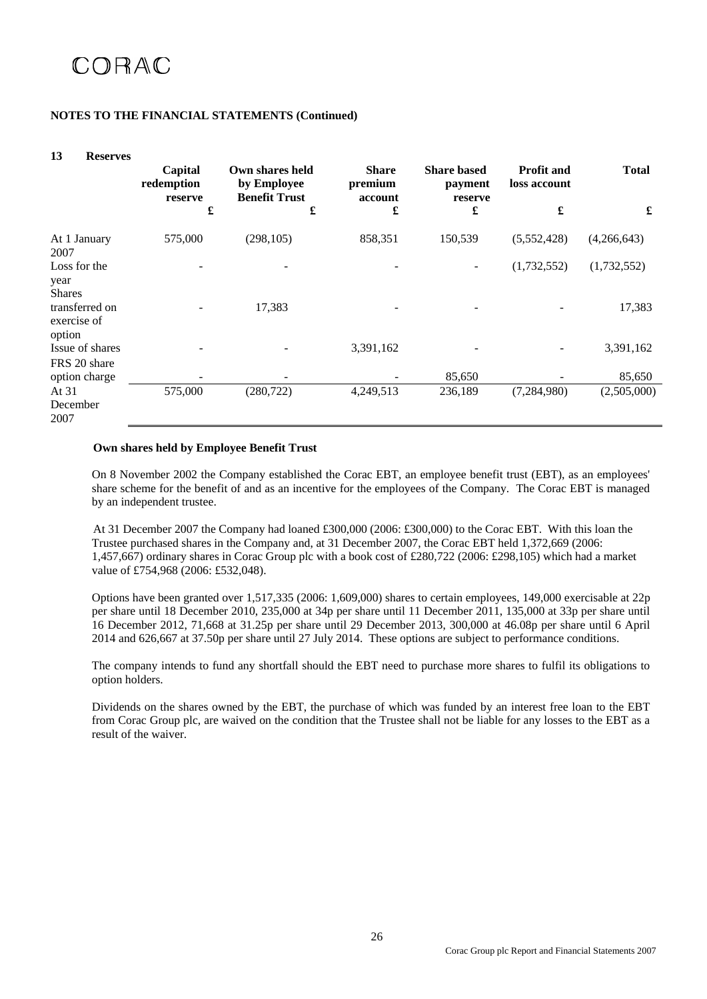# **NOTES TO THE FINANCIAL STATEMENTS (Continued)**

#### **13 Reserves**

|                                         | Capital<br>redemption<br>reserve | Own shares held<br>by Employee<br><b>Benefit Trust</b> | <b>Share</b><br>premium<br>account | <b>Share based</b><br>payment<br>reserve | <b>Profit and</b><br>loss account | <b>Total</b> |
|-----------------------------------------|----------------------------------|--------------------------------------------------------|------------------------------------|------------------------------------------|-----------------------------------|--------------|
|                                         | £                                | £                                                      | £                                  | £                                        | £                                 | £            |
| At 1 January<br>2007                    | 575,000                          | (298, 105)                                             | 858,351                            | 150,539                                  | (5,552,428)                       | (4,266,643)  |
| Loss for the<br>year<br><b>Shares</b>   |                                  |                                                        |                                    |                                          | (1,732,552)                       | (1,732,552)  |
| transferred on<br>exercise of<br>option |                                  | 17,383                                                 |                                    |                                          |                                   | 17,383       |
| Issue of shares<br>FRS 20 share         |                                  |                                                        | 3,391,162                          |                                          |                                   | 3,391,162    |
| option charge                           |                                  |                                                        |                                    | 85,650                                   |                                   | 85,650       |
| At 31<br>December<br>2007               | 575,000                          | (280, 722)                                             | 4,249,513                          | 236,189                                  | (7,284,980)                       | (2,505,000)  |

#### **Own shares held by Employee Benefit Trust**

On 8 November 2002 the Company established the Corac EBT, an employee benefit trust (EBT), as an employees' share scheme for the benefit of and as an incentive for the employees of the Company. The Corac EBT is managed by an independent trustee.

 At 31 December 2007 the Company had loaned £300,000 (2006: £300,000) to the Corac EBT. With this loan the Trustee purchased shares in the Company and, at 31 December 2007, the Corac EBT held 1,372,669 (2006: 1,457,667) ordinary shares in Corac Group plc with a book cost of £280,722 (2006: £298,105) which had a market value of £754,968 (2006: £532,048).

Options have been granted over 1,517,335 (2006: 1,609,000) shares to certain employees, 149,000 exercisable at 22p per share until 18 December 2010, 235,000 at 34p per share until 11 December 2011, 135,000 at 33p per share until 16 December 2012, 71,668 at 31.25p per share until 29 December 2013, 300,000 at 46.08p per share until 6 April 2014 and 626,667 at 37.50p per share until 27 July 2014. These options are subject to performance conditions.

The company intends to fund any shortfall should the EBT need to purchase more shares to fulfil its obligations to option holders.

Dividends on the shares owned by the EBT, the purchase of which was funded by an interest free loan to the EBT from Corac Group plc, are waived on the condition that the Trustee shall not be liable for any losses to the EBT as a result of the waiver.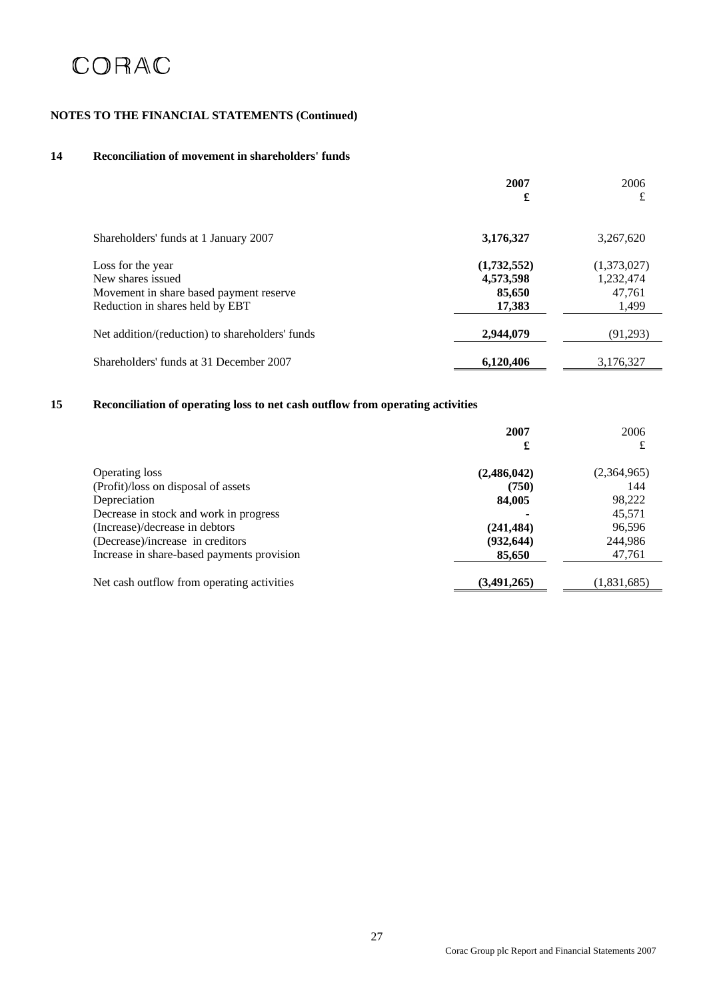# **NOTES TO THE FINANCIAL STATEMENTS (Continued)**

# **14 Reconciliation of movement in shareholders' funds**

| 2007<br>£   | 2006<br>£   |
|-------------|-------------|
| 3,176,327   | 3,267,620   |
| (1,732,552) | (1,373,027) |
| 4,573,598   | 1.232.474   |
| 85,650      | 47.761      |
| 17,383      | 1.499       |
| 2,944,079   | (91,293)    |
| 6,120,406   | 3,176,327   |
|             |             |

# **15 Reconciliation of operating loss to net cash outflow from operating activities**

|                                            | 2007<br>£   | 2006        |
|--------------------------------------------|-------------|-------------|
| <b>Operating loss</b>                      | (2,486,042) | (2,364,965) |
| (Profit)/loss on disposal of assets        | (750)       | 144         |
| Depreciation                               | 84,005      | 98,222      |
| Decrease in stock and work in progress     |             | 45.571      |
| (Increase)/decrease in debtors             | (241, 484)  | 96,596      |
| (Decrease)/increase in creditors           | (932, 644)  | 244,986     |
| Increase in share-based payments provision | 85,650      | 47,761      |
| Net cash outflow from operating activities | (3,491,265) | (1,831,685) |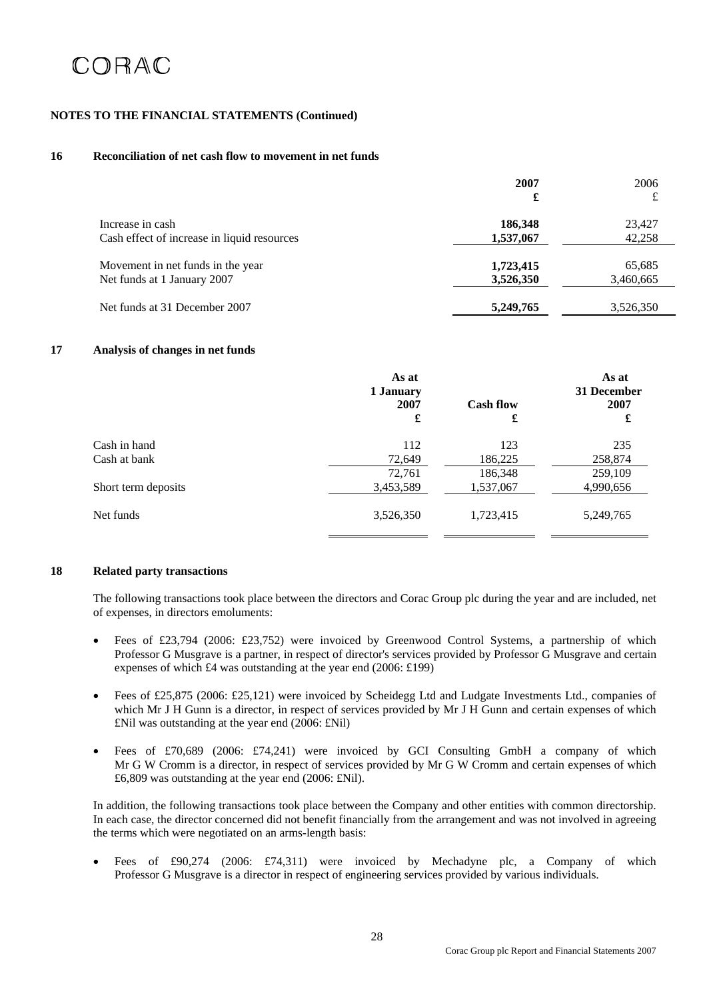# **NOTES TO THE FINANCIAL STATEMENTS (Continued)**

#### **16 Reconciliation of net cash flow to movement in net funds**

|                                             | 2007      | 2006      |
|---------------------------------------------|-----------|-----------|
|                                             | £         | £         |
| Increase in cash                            | 186,348   | 23,427    |
| Cash effect of increase in liquid resources | 1,537,067 | 42,258    |
| Movement in net funds in the year           | 1,723,415 | 65,685    |
| Net funds at 1 January 2007                 | 3,526,350 | 3,460,665 |
| Net funds at 31 December 2007               | 5,249,765 | 3,526,350 |

#### **17 Analysis of changes in net funds**

| As at<br>1 January<br>2007 | <b>Cash flow</b> | As at<br>31 December<br>2007 |
|----------------------------|------------------|------------------------------|
|                            |                  | £                            |
| 112                        | 123              | 235                          |
| 72,649                     | 186,225          | 258,874                      |
| 72,761                     | 186,348          | 259,109                      |
| 3,453,589                  | 1,537,067        | 4,990,656                    |
| 3,526,350                  | 1,723,415        | 5,249,765                    |
|                            | £                | £                            |

#### **18 Related party transactions**

The following transactions took place between the directors and Corac Group plc during the year and are included, net of expenses, in directors emoluments:

- Fees of £23,794 (2006: £23,752) were invoiced by Greenwood Control Systems, a partnership of which Professor G Musgrave is a partner, in respect of director's services provided by Professor G Musgrave and certain expenses of which £4 was outstanding at the year end (2006: £199)
- Fees of £25,875 (2006: £25,121) were invoiced by Scheidegg Ltd and Ludgate Investments Ltd., companies of which Mr J H Gunn is a director, in respect of services provided by Mr J H Gunn and certain expenses of which £Nil was outstanding at the year end (2006: £Nil)
- Fees of £70,689 (2006: £74,241) were invoiced by GCI Consulting GmbH a company of which Mr G W Cromm is a director, in respect of services provided by Mr G W Cromm and certain expenses of which £6,809 was outstanding at the year end (2006: £Nil).

In addition, the following transactions took place between the Company and other entities with common directorship. In each case, the director concerned did not benefit financially from the arrangement and was not involved in agreeing the terms which were negotiated on an arms-length basis:

• Fees of £90,274 (2006: £74,311) were invoiced by Mechadyne plc, a Company of which Professor G Musgrave is a director in respect of engineering services provided by various individuals.

28